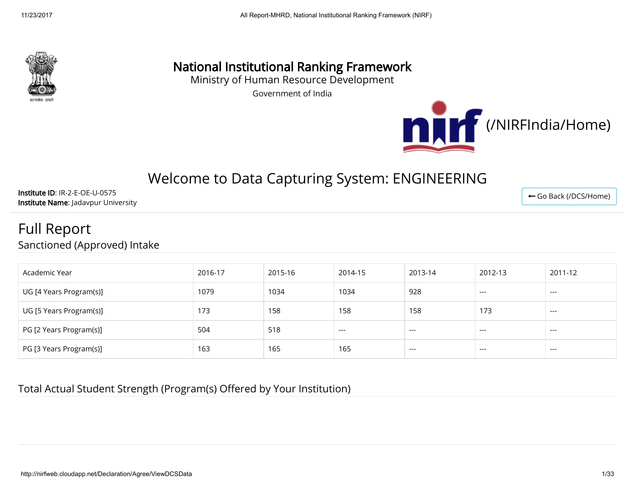

## National Institutional Ranking Framework

Ministry of Human Resource Development

Government of India



← [Go Back \(/DCS/Home\)](http://nirfweb.cloudapp.net/DCS/Home)

# Welcome to Data Capturing System: ENGINEERING

Institute ID: IR-2-E-OE-U-0575 Institute Name: Jadavpur University

## Full Report Sanctioned (Approved) Intake

| Academic Year           | 2016-17 | 2015-16 | 2014-15 | 2013-14 | 2012-13 | 2011-12 |
|-------------------------|---------|---------|---------|---------|---------|---------|
| UG [4 Years Program(s)] | 1079    | 1034    | 1034    | 928     | ---     | ----    |
| UG [5 Years Program(s)] | 173     | 158     | 158     | 158     | 173     | ----    |
| PG [2 Years Program(s)] | 504     | 518     | $---$   | $---$   | ---     | ---     |
| PG [3 Years Program(s)] | 163     | 165     | 165     | $---$   | $---$   | ---     |

#### Total Actual Student Strength (Program(s) Offered by Your Institution)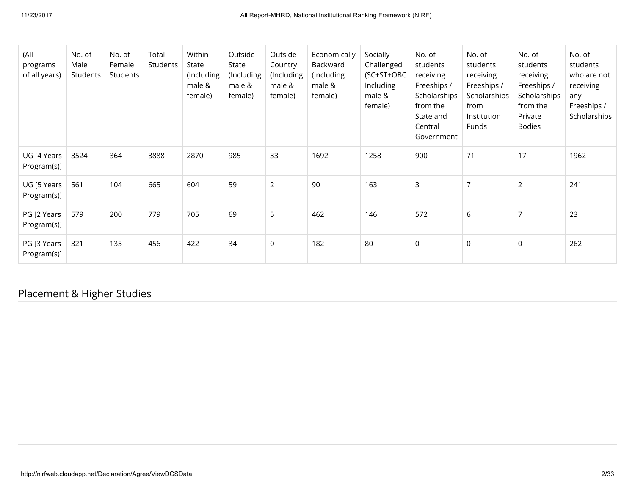| (All<br>programs<br>of all years) | No. of<br>Male<br>Students | No. of<br>Female<br>Students | Total<br>Students | Within<br>State<br>(Including<br>male &<br>female) | Outside<br>State<br>(Including<br>male &<br>female) | Outside<br>Country<br>(Including<br>male &<br>female) | Economically<br>Backward<br>(Including<br>male &<br>female) | Socially<br>Challenged<br>(SC+ST+OBC<br>Including<br>male &<br>female) | No. of<br>students<br>receiving<br>Freeships /<br>Scholarships<br>from the<br>State and<br>Central<br>Government | No. of<br>students<br>receiving<br>Freeships /<br>Scholarships<br>from<br>Institution<br>Funds | No. of<br>students<br>receiving<br>Freeships /<br>Scholarships<br>from the<br>Private<br><b>Bodies</b> | No. of<br>students<br>who are not<br>receiving<br>any<br>Freeships /<br>Scholarships |
|-----------------------------------|----------------------------|------------------------------|-------------------|----------------------------------------------------|-----------------------------------------------------|-------------------------------------------------------|-------------------------------------------------------------|------------------------------------------------------------------------|------------------------------------------------------------------------------------------------------------------|------------------------------------------------------------------------------------------------|--------------------------------------------------------------------------------------------------------|--------------------------------------------------------------------------------------|
| UG [4 Years<br>Program(s)]        | 3524                       | 364                          | 3888              | 2870                                               | 985                                                 | 33                                                    | 1692                                                        | 1258                                                                   | 900                                                                                                              | 71                                                                                             | 17                                                                                                     | 1962                                                                                 |
| UG [5 Years<br>Program(s)]        | 561                        | 104                          | 665               | 604                                                | 59                                                  | $\overline{2}$                                        | 90                                                          | 163                                                                    | 3                                                                                                                | $\overline{7}$                                                                                 | $\overline{2}$                                                                                         | 241                                                                                  |
| PG [2 Years<br>Program(s)]        | 579                        | 200                          | 779               | 705                                                | 69                                                  | 5                                                     | 462                                                         | 146                                                                    | 572                                                                                                              | 6                                                                                              | 7                                                                                                      | 23                                                                                   |
| PG [3 Years<br>Program(s)]        | 321                        | 135                          | 456               | 422                                                | 34                                                  | $\mathbf 0$                                           | 182                                                         | 80                                                                     | $\mathsf{O}$                                                                                                     | $\mathsf 0$                                                                                    | $\mathbf 0$                                                                                            | 262                                                                                  |

Placement & Higher Studies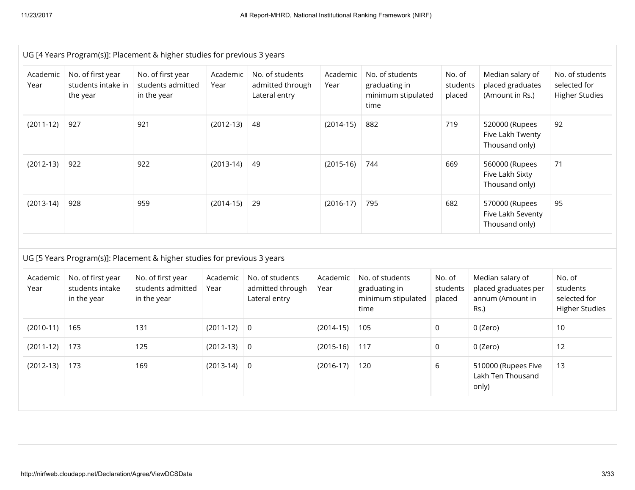|                  |                                                     | UG [4 Years Program(s)]: Placement & higher studies for previous 3 years |                  |                                                      |                  |                                                                |                              |                                                                      |                                                             |
|------------------|-----------------------------------------------------|--------------------------------------------------------------------------|------------------|------------------------------------------------------|------------------|----------------------------------------------------------------|------------------------------|----------------------------------------------------------------------|-------------------------------------------------------------|
| Academic<br>Year | No. of first year<br>students intake in<br>the year | No. of first year<br>students admitted<br>in the year                    | Academic<br>Year | No. of students<br>admitted through<br>Lateral entry | Academic<br>Year | No. of students<br>graduating in<br>minimum stipulated<br>time | No. of<br>students<br>placed | Median salary of<br>placed graduates<br>(Amount in Rs.)              | No. of students<br>selected for<br><b>Higher Studies</b>    |
| $(2011-12)$      | 927                                                 | 921                                                                      | $(2012-13)$      | 48                                                   | $(2014-15)$      | 882                                                            | 719                          | 520000 (Rupees<br>Five Lakh Twenty<br>Thousand only)                 | 92                                                          |
| $(2012-13)$      | 922                                                 | 922                                                                      | $(2013-14)$      | 49                                                   | $(2015-16)$      | 744                                                            | 669                          | 560000 (Rupees<br>Five Lakh Sixty<br>Thousand only)                  | 71                                                          |
| $(2013-14)$      | 928                                                 | 959                                                                      | $(2014-15)$      | 29                                                   | $(2016-17)$      | 795                                                            | 682                          | 570000 (Rupees<br>Five Lakh Seventy<br>Thousand only)                | 95                                                          |
|                  |                                                     | UG [5 Years Program(s)]: Placement & higher studies for previous 3 years |                  |                                                      |                  |                                                                |                              |                                                                      |                                                             |
| Academic<br>Year | No. of first year<br>students intake<br>in the year | No. of first year<br>students admitted<br>in the year                    | Academic<br>Year | No. of students<br>admitted through<br>Lateral entry | Academic<br>Year | No. of students<br>graduating in<br>minimum stipulated<br>time | No. of<br>students<br>placed | Median salary of<br>placed graduates per<br>annum (Amount in<br>Rs.) | No. of<br>students<br>selected for<br><b>Higher Studies</b> |
| $(2010-11)$      | 165                                                 | 131                                                                      | $(2011-12)$      | $\mathsf 0$                                          | $(2014-15)$      | 105                                                            | $\mathsf{O}$                 | 0 (Zero)                                                             | 10                                                          |
| $(2011-12)$      | 173                                                 | 125                                                                      | $(2012-13)$      | $\mathsf 0$                                          | $(2015-16)$      | 117                                                            | $\mathsf{O}$                 | 0 (Zero)                                                             | 12                                                          |
| $(2012-13)$      | 173                                                 | 169                                                                      | $(2013-14)$      | 0                                                    | $(2016-17)$      | 120                                                            | 6                            | 510000 (Rupees Five<br>Lakh Ten Thousand<br>only)                    | 13                                                          |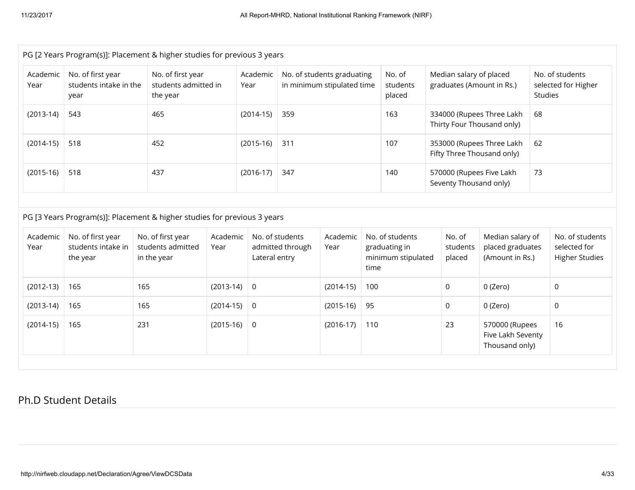| PG [2 Years Program(s)]: Placement & higher studies for previous 3 years |                                                     |                                                                          |                  |                    |                                     |                                                          |      |                                                         |                                                         |                                                         |         |                                                          |
|--------------------------------------------------------------------------|-----------------------------------------------------|--------------------------------------------------------------------------|------------------|--------------------|-------------------------------------|----------------------------------------------------------|------|---------------------------------------------------------|---------------------------------------------------------|---------------------------------------------------------|---------|----------------------------------------------------------|
| Academic<br>Year                                                         | No. of first year<br>students intake in the<br>year | No. of first year<br>students admitted in<br>the year                    |                  | Academic<br>Year   |                                     | No. of students graduating<br>in minimum stipulated time |      | No. of<br>students<br>placed                            | Median salary of placed<br>graduates (Amount in Rs.)    |                                                         | Studies | No. of students<br>selected for Higher                   |
| $(2013-14)$                                                              | 543                                                 | 465                                                                      |                  | $(2014-15)$<br>359 |                                     |                                                          | 163  | 334000 (Rupees Three Lakh<br>Thirty Four Thousand only) |                                                         | 68                                                      |         |                                                          |
| $(2014-15)$                                                              | 518                                                 | 452                                                                      |                  | $(2015-16)$        | 311                                 |                                                          |      | 107                                                     | 353000 (Rupees Three Lakh<br>Fifty Three Thousand only) |                                                         | 62      |                                                          |
| $(2015-16)$                                                              | 518                                                 | 437                                                                      |                  | $(2016-17)$        | 347                                 |                                                          |      | 140                                                     | 570000 (Rupees Five Lakh<br>Seventy Thousand only)      |                                                         | 73      |                                                          |
|                                                                          |                                                     |                                                                          |                  |                    |                                     |                                                          |      |                                                         |                                                         |                                                         |         |                                                          |
|                                                                          |                                                     | PG [3 Years Program(s)]: Placement & higher studies for previous 3 years |                  |                    |                                     |                                                          |      |                                                         |                                                         |                                                         |         |                                                          |
| Academic<br>Year                                                         | No. of first year<br>students intake in<br>the year | No. of first year<br>students admitted<br>in the year                    | Academic<br>Year | Lateral entry      | No. of students<br>admitted through | Academic<br>Year                                         | time | No. of students<br>graduating in<br>minimum stipulated  | No. of<br>students<br>placed                            | Median salary of<br>placed graduates<br>(Amount in Rs.) |         | No. of students<br>selected for<br><b>Higher Studies</b> |
| $(2012-13)$                                                              | 165                                                 | 165                                                                      | $(2013-14)$      | 0                  |                                     | $(2014-15)$                                              | 100  |                                                         | $\mathbf{0}$                                            | 0 (Zero)                                                |         | 0                                                        |
| $(2013-14)$                                                              | 165                                                 | 165                                                                      | $(2014-15)$      | 0                  |                                     | $(2015-16)$                                              | 95   |                                                         | 0                                                       | 0 (Zero)                                                |         | $\mathsf{O}$                                             |
| $(2014-15)$                                                              | 165                                                 | 231                                                                      | $(2015-16)$      | 0                  |                                     | $(2016-17)$                                              | 110  |                                                         | 23                                                      | 570000 (Rupees<br>Five Lakh Seventy<br>Thousand only)   |         | 16                                                       |
|                                                                          |                                                     |                                                                          |                  |                    |                                     |                                                          |      |                                                         |                                                         |                                                         |         |                                                          |

#### Ph.D Student Details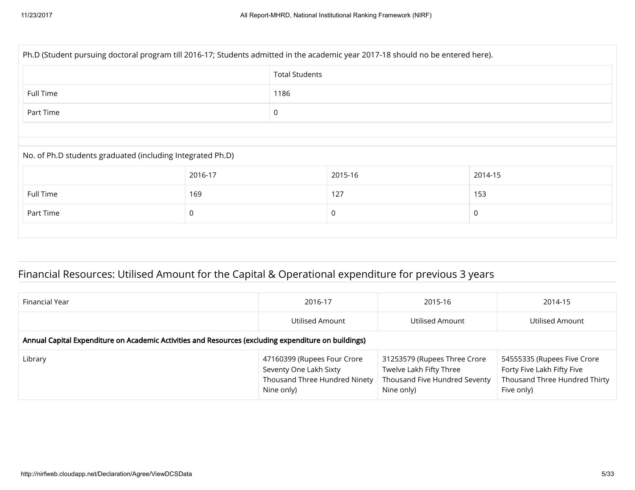| Ph.D (Student pursuing doctoral program till 2016-17; Students admitted in the academic year 2017-18 should no be entered here). |         |                       |         |         |  |  |  |
|----------------------------------------------------------------------------------------------------------------------------------|---------|-----------------------|---------|---------|--|--|--|
|                                                                                                                                  |         | <b>Total Students</b> |         |         |  |  |  |
| Full Time                                                                                                                        |         | 1186                  |         |         |  |  |  |
| Part Time                                                                                                                        |         | $\pmb{0}$             |         |         |  |  |  |
|                                                                                                                                  |         |                       |         |         |  |  |  |
| No. of Ph.D students graduated (including Integrated Ph.D)                                                                       |         |                       |         |         |  |  |  |
|                                                                                                                                  | 2016-17 |                       | 2015-16 | 2014-15 |  |  |  |
| Full Time                                                                                                                        | 169     |                       | 127     | 153     |  |  |  |
| Part Time                                                                                                                        | 0       |                       | 0       | 0       |  |  |  |
|                                                                                                                                  |         |                       |         |         |  |  |  |

## Financial Resources: Utilised Amount for the Capital & Operational expenditure for previous 3 years

| Financial Year                                                                                       | 2016-17                                                                                              | 2015-16                                                                                                | 2014-15                                                                                                  |  |  |  |  |
|------------------------------------------------------------------------------------------------------|------------------------------------------------------------------------------------------------------|--------------------------------------------------------------------------------------------------------|----------------------------------------------------------------------------------------------------------|--|--|--|--|
|                                                                                                      | Utilised Amount                                                                                      | Utilised Amount                                                                                        | Utilised Amount                                                                                          |  |  |  |  |
| Annual Capital Expenditure on Academic Activities and Resources (excluding expenditure on buildings) |                                                                                                      |                                                                                                        |                                                                                                          |  |  |  |  |
| Library                                                                                              | 47160399 (Rupees Four Crore<br>Seventy One Lakh Sixty<br>Thousand Three Hundred Ninety<br>Nine only) | 31253579 (Rupees Three Crore<br>Twelve Lakh Fifty Three<br>Thousand Five Hundred Seventy<br>Nine only) | 54555335 (Rupees Five Crore<br>Forty Five Lakh Fifty Five<br>Thousand Three Hundred Thirty<br>Five only) |  |  |  |  |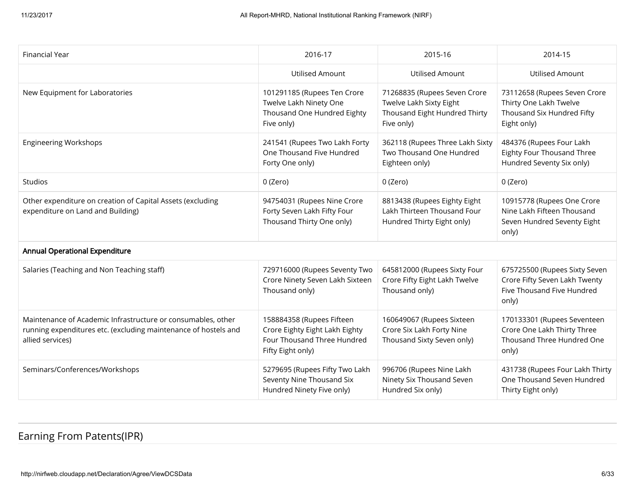| Financial Year                                                                                                                                      | 2016-17                                                                                                         | 2015-16                                                                                                | 2014-15                                                                                               |
|-----------------------------------------------------------------------------------------------------------------------------------------------------|-----------------------------------------------------------------------------------------------------------------|--------------------------------------------------------------------------------------------------------|-------------------------------------------------------------------------------------------------------|
|                                                                                                                                                     | <b>Utilised Amount</b>                                                                                          | <b>Utilised Amount</b>                                                                                 | <b>Utilised Amount</b>                                                                                |
| New Equipment for Laboratories                                                                                                                      | 101291185 (Rupees Ten Crore<br>Twelve Lakh Ninety One<br>Thousand One Hundred Eighty<br>Five only)              | 71268835 (Rupees Seven Crore<br>Twelve Lakh Sixty Eight<br>Thousand Eight Hundred Thirty<br>Five only) | 73112658 (Rupees Seven Crore<br>Thirty One Lakh Twelve<br>Thousand Six Hundred Fifty<br>Eight only)   |
| <b>Engineering Workshops</b>                                                                                                                        | 241541 (Rupees Two Lakh Forty<br>One Thousand Five Hundred<br>Forty One only)                                   | 362118 (Rupees Three Lakh Sixty<br>Two Thousand One Hundred<br>Eighteen only)                          | 484376 (Rupees Four Lakh<br>Eighty Four Thousand Three<br>Hundred Seventy Six only)                   |
| Studios                                                                                                                                             | 0 (Zero)                                                                                                        | 0 (Zero)                                                                                               | 0 (Zero)                                                                                              |
| Other expenditure on creation of Capital Assets (excluding<br>expenditure on Land and Building)                                                     | 94754031 (Rupees Nine Crore<br>Forty Seven Lakh Fifty Four<br>Thousand Thirty One only)                         | 8813438 (Rupees Eighty Eight<br>Lakh Thirteen Thousand Four<br>Hundred Thirty Eight only)              | 10915778 (Rupees One Crore<br>Nine Lakh Fifteen Thousand<br>Seven Hundred Seventy Eight<br>only)      |
| <b>Annual Operational Expenditure</b>                                                                                                               |                                                                                                                 |                                                                                                        |                                                                                                       |
| Salaries (Teaching and Non Teaching staff)                                                                                                          | 729716000 (Rupees Seventy Two<br>Crore Ninety Seven Lakh Sixteen<br>Thousand only)                              | 645812000 (Rupees Sixty Four<br>Crore Fifty Eight Lakh Twelve<br>Thousand only)                        | 675725500 (Rupees Sixty Seven<br>Crore Fifty Seven Lakh Twenty<br>Five Thousand Five Hundred<br>only) |
| Maintenance of Academic Infrastructure or consumables, other<br>running expenditures etc. (excluding maintenance of hostels and<br>allied services) | 158884358 (Rupees Fifteen<br>Crore Eighty Eight Lakh Eighty<br>Four Thousand Three Hundred<br>Fifty Eight only) | 160649067 (Rupees Sixteen<br>Crore Six Lakh Forty Nine<br>Thousand Sixty Seven only)                   | 170133301 (Rupees Seventeen<br>Crore One Lakh Thirty Three<br>Thousand Three Hundred One<br>only)     |
| Seminars/Conferences/Workshops                                                                                                                      | 5279695 (Rupees Fifty Two Lakh<br>Seventy Nine Thousand Six<br>Hundred Ninety Five only)                        | 996706 (Rupees Nine Lakh<br>Ninety Six Thousand Seven<br>Hundred Six only)                             | 431738 (Rupees Four Lakh Thirty<br>One Thousand Seven Hundred<br>Thirty Eight only)                   |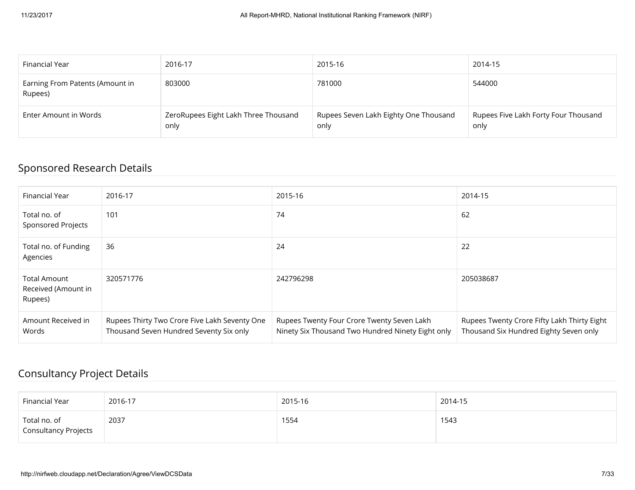| Financial Year                             | 2016-17                                      | 2015-16                                       | 2014-15                                      |
|--------------------------------------------|----------------------------------------------|-----------------------------------------------|----------------------------------------------|
| Earning From Patents (Amount in<br>Rupees) | 803000                                       | 781000                                        | 544000                                       |
| Enter Amount in Words                      | ZeroRupees Eight Lakh Three Thousand<br>only | Rupees Seven Lakh Eighty One Thousand<br>only | Rupees Five Lakh Forty Four Thousand<br>only |

## Sponsored Research Details

| Financial Year                                        | 2016-17                                                                                  | 2015-16                                                                                         | 2014-15                                                                               |
|-------------------------------------------------------|------------------------------------------------------------------------------------------|-------------------------------------------------------------------------------------------------|---------------------------------------------------------------------------------------|
| Total no. of<br><b>Sponsored Projects</b>             | 101                                                                                      | 74                                                                                              | 62                                                                                    |
| Total no. of Funding<br>Agencies                      | 36                                                                                       | 24                                                                                              | 22                                                                                    |
| <b>Total Amount</b><br>Received (Amount in<br>Rupees) | 320571776                                                                                | 242796298                                                                                       | 205038687                                                                             |
| Amount Received in<br>Words                           | Rupees Thirty Two Crore Five Lakh Seventy One<br>Thousand Seven Hundred Seventy Six only | Rupees Twenty Four Crore Twenty Seven Lakh<br>Ninety Six Thousand Two Hundred Ninety Eight only | Rupees Twenty Crore Fifty Lakh Thirty Eight<br>Thousand Six Hundred Eighty Seven only |

#### Consultancy Project Details

| Financial Year                       | 2016-17 | 2015-16 | 2014-15 |
|--------------------------------------|---------|---------|---------|
| Total no. of<br>Consultancy Projects | 2037    | 1554    | 1543    |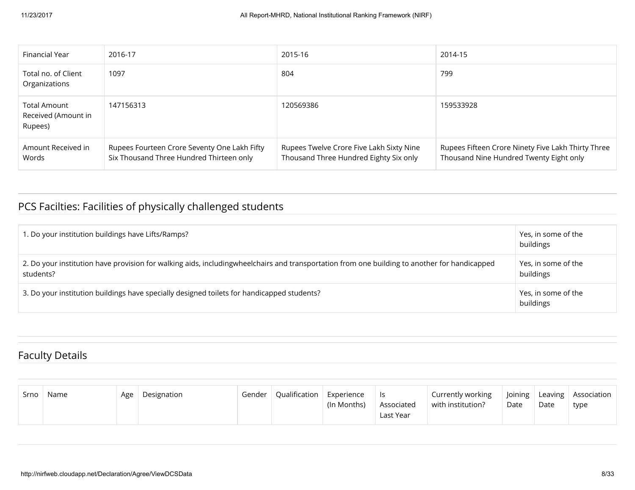| Financial Year                                 | 2016-17                                                                                  | 2015-16                                                                            | 2014-15                                                                                       |
|------------------------------------------------|------------------------------------------------------------------------------------------|------------------------------------------------------------------------------------|-----------------------------------------------------------------------------------------------|
| Total no. of Client<br>Organizations           | 1097                                                                                     | 804                                                                                | 799                                                                                           |
| Total Amount<br>Received (Amount in<br>Rupees) | 147156313                                                                                | 120569386                                                                          | 159533928                                                                                     |
| Amount Received in<br>Words                    | Rupees Fourteen Crore Seventy One Lakh Fifty<br>Six Thousand Three Hundred Thirteen only | Rupees Twelve Crore Five Lakh Sixty Nine<br>Thousand Three Hundred Eighty Six only | Rupees Fifteen Crore Ninety Five Lakh Thirty Three<br>Thousand Nine Hundred Twenty Eight only |

## PCS Facilties: Facilities of physically challenged students

| 1. Do your institution buildings have Lifts/Ramps?                                                                                                        | Yes, in some of the<br>buildings |
|-----------------------------------------------------------------------------------------------------------------------------------------------------------|----------------------------------|
| 2. Do your institution have provision for walking aids, includingwheelchairs and transportation from one building to another for handicapped<br>students? | Yes, in some of the<br>buildings |
| 3. Do your institution buildings have specially designed toilets for handicapped students?                                                                | Yes, in some of the<br>buildings |

## Faculty Details

| Srno | Name | Age | Designation | Gender | Oualification | Experience  | ls.                     | Currently working | Joining |      | Leaving   Association |
|------|------|-----|-------------|--------|---------------|-------------|-------------------------|-------------------|---------|------|-----------------------|
|      |      |     |             |        |               | (In Months) | Associated<br>Last Year | with institution? | Date    | Date | type                  |
|      |      |     |             |        |               |             |                         |                   |         |      |                       |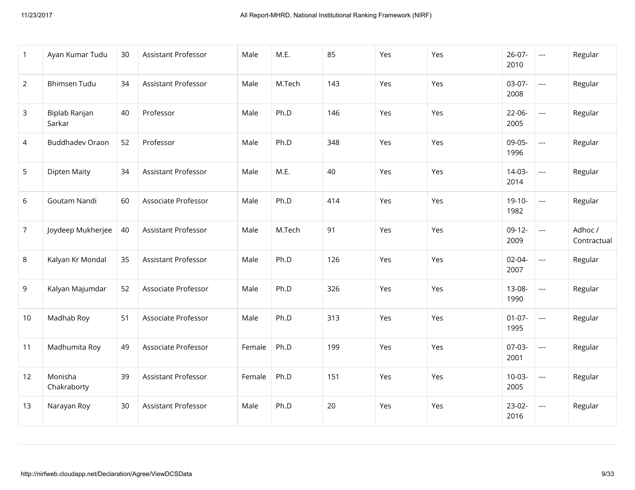| $\mathbf{1}$   | Ayan Kumar Tudu         | 30 | Assistant Professor        | Male   | M.E.   | 85  | Yes | Yes | $26-07-$<br>2010    | $\scriptstyle\cdots$     | Regular                |
|----------------|-------------------------|----|----------------------------|--------|--------|-----|-----|-----|---------------------|--------------------------|------------------------|
| $\overline{2}$ | <b>Bhimsen Tudu</b>     | 34 | Assistant Professor        | Male   | M.Tech | 143 | Yes | Yes | $03-07-$<br>2008    | $\overline{\phantom{a}}$ | Regular                |
| 3              | Biplab Ranjan<br>Sarkar | 40 | Professor                  | Male   | Ph.D   | 146 | Yes | Yes | $22-06-$<br>2005    | $\overline{\phantom{a}}$ | Regular                |
| $\overline{4}$ | <b>Buddhadev Oraon</b>  | 52 | Professor                  | Male   | Ph.D   | 348 | Yes | Yes | 09-05-<br>1996      | $\overline{\phantom{a}}$ | Regular                |
| 5              | <b>Dipten Maity</b>     | 34 | <b>Assistant Professor</b> | Male   | M.E.   | 40  | Yes | Yes | $14-03-$<br>2014    | $\overline{\phantom{a}}$ | Regular                |
| 6              | Goutam Nandi            | 60 | Associate Professor        | Male   | Ph.D   | 414 | Yes | Yes | $19-10-$<br>1982    | $\hspace{0.05cm} \ldots$ | Regular                |
| $\overline{7}$ | Joydeep Mukherjee       | 40 | Assistant Professor        | Male   | M.Tech | 91  | Yes | Yes | $09-12-$<br>2009    | $\overline{a}$           | Adhoc /<br>Contractual |
| 8              | Kalyan Kr Mondal        | 35 | Assistant Professor        | Male   | Ph.D   | 126 | Yes | Yes | $02 - 04 -$<br>2007 | $\overline{a}$           | Regular                |
| 9              | Kalyan Majumdar         | 52 | Associate Professor        | Male   | Ph.D   | 326 | Yes | Yes | 13-08-<br>1990      | $\overline{\phantom{a}}$ | Regular                |
| 10             | Madhab Roy              | 51 | Associate Professor        | Male   | Ph.D   | 313 | Yes | Yes | $01-07-$<br>1995    | $\overline{\phantom{a}}$ | Regular                |
| 11             | Madhumita Roy           | 49 | Associate Professor        | Female | Ph.D   | 199 | Yes | Yes | 07-03-<br>2001      | $\overline{\phantom{a}}$ | Regular                |
| 12             | Monisha<br>Chakraborty  | 39 | <b>Assistant Professor</b> | Female | Ph.D   | 151 | Yes | Yes | $10-03-$<br>2005    | $\overline{a}$           | Regular                |
| 13             | Narayan Roy             | 30 | Assistant Professor        | Male   | Ph.D   | 20  | Yes | Yes | $23-02-$<br>2016    | $\overline{a}$           | Regular                |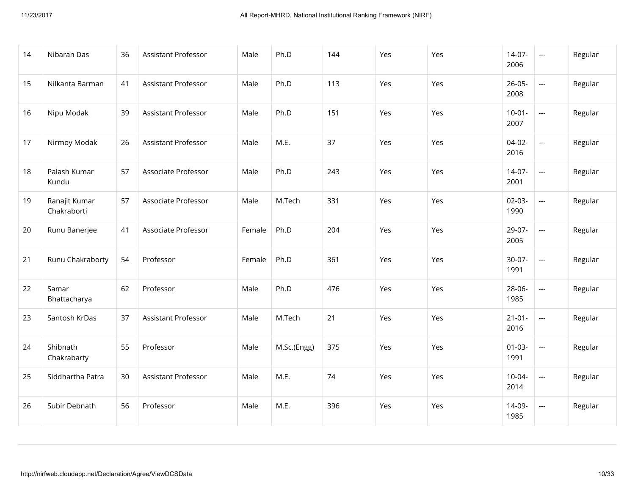| 14 | Nibaran Das                  | 36 | Assistant Professor        | Male   | Ph.D        | 144 | Yes | Yes | $14-07-$<br>2006    | $\overline{a}$           | Regular |
|----|------------------------------|----|----------------------------|--------|-------------|-----|-----|-----|---------------------|--------------------------|---------|
| 15 | Nilkanta Barman              | 41 | Assistant Professor        | Male   | Ph.D        | 113 | Yes | Yes | $26 - 05 -$<br>2008 | $---$                    | Regular |
| 16 | Nipu Modak                   | 39 | <b>Assistant Professor</b> | Male   | Ph.D        | 151 | Yes | Yes | $10-01-$<br>2007    | $\overline{a}$           | Regular |
| 17 | Nirmoy Modak                 | 26 | Assistant Professor        | Male   | M.E.        | 37  | Yes | Yes | $04-02-$<br>2016    | $\overline{a}$           | Regular |
| 18 | Palash Kumar<br>Kundu        | 57 | Associate Professor        | Male   | Ph.D        | 243 | Yes | Yes | $14-07-$<br>2001    | $\sim$ $\sim$            | Regular |
| 19 | Ranajit Kumar<br>Chakraborti | 57 | Associate Professor        | Male   | M.Tech      | 331 | Yes | Yes | $02-03-$<br>1990    | $\overline{a}$           | Regular |
| 20 | Runu Banerjee                | 41 | Associate Professor        | Female | Ph.D        | 204 | Yes | Yes | 29-07-<br>2005      | $---$                    | Regular |
| 21 | Runu Chakraborty             | 54 | Professor                  | Female | Ph.D        | 361 | Yes | Yes | $30-07-$<br>1991    | $\overline{a}$           | Regular |
| 22 | Samar<br>Bhattacharya        | 62 | Professor                  | Male   | Ph.D        | 476 | Yes | Yes | 28-06-<br>1985      | $\overline{\phantom{a}}$ | Regular |
| 23 | Santosh KrDas                | 37 | Assistant Professor        | Male   | M.Tech      | 21  | Yes | Yes | $21-01-$<br>2016    | $\overline{\phantom{a}}$ | Regular |
| 24 | Shibnath<br>Chakrabarty      | 55 | Professor                  | Male   | M.Sc.(Engg) | 375 | Yes | Yes | $01-03-$<br>1991    | $\hspace{0.05cm} \ldots$ | Regular |
| 25 | Siddhartha Patra             | 30 | Assistant Professor        | Male   | M.E.        | 74  | Yes | Yes | $10-04-$<br>2014    | $\overline{\phantom{a}}$ | Regular |
| 26 | Subir Debnath                | 56 | Professor                  | Male   | M.E.        | 396 | Yes | Yes | 14-09-<br>1985      | $\hspace{0.05cm} \ldots$ | Regular |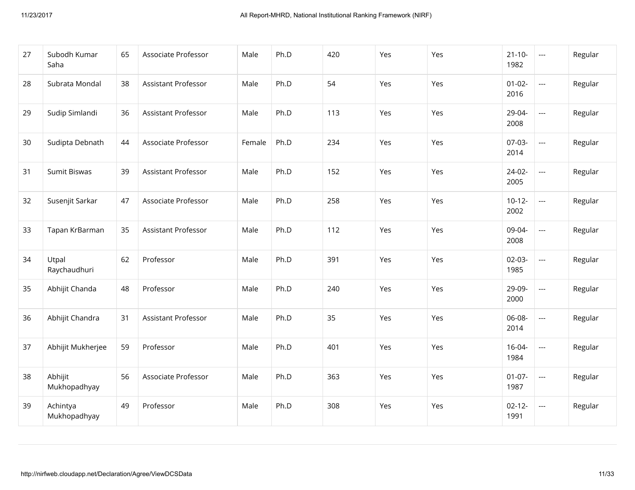| 27 | Subodh Kumar<br>Saha     | 65 | Associate Professor        | Male   | Ph.D | 420 | Yes | Yes | $21 - 10 -$<br>1982 | $\scriptstyle\cdots$                     | Regular |
|----|--------------------------|----|----------------------------|--------|------|-----|-----|-----|---------------------|------------------------------------------|---------|
| 28 | Subrata Mondal           | 38 | <b>Assistant Professor</b> | Male   | Ph.D | 54  | Yes | Yes | $01 - 02 -$<br>2016 | $\hspace{0.05cm} \ldots \hspace{0.05cm}$ | Regular |
| 29 | Sudip Simlandi           | 36 | <b>Assistant Professor</b> | Male   | Ph.D | 113 | Yes | Yes | 29-04-<br>2008      | $\overline{\phantom{a}}$                 | Regular |
| 30 | Sudipta Debnath          | 44 | Associate Professor        | Female | Ph.D | 234 | Yes | Yes | $07-03-$<br>2014    | $\overline{a}$                           | Regular |
| 31 | Sumit Biswas             | 39 | <b>Assistant Professor</b> | Male   | Ph.D | 152 | Yes | Yes | $24-02-$<br>2005    | $\overline{\phantom{a}}$                 | Regular |
| 32 | Susenjit Sarkar          | 47 | Associate Professor        | Male   | Ph.D | 258 | Yes | Yes | $10-12-$<br>2002    | $\overline{a}$                           | Regular |
| 33 | Tapan KrBarman           | 35 | Assistant Professor        | Male   | Ph.D | 112 | Yes | Yes | 09-04-<br>2008      | $\overline{\phantom{a}}$                 | Regular |
| 34 | Utpal<br>Raychaudhuri    | 62 | Professor                  | Male   | Ph.D | 391 | Yes | Yes | $02-03-$<br>1985    | $\overline{a}$                           | Regular |
| 35 | Abhijit Chanda           | 48 | Professor                  | Male   | Ph.D | 240 | Yes | Yes | 29-09-<br>2000      | $\overline{\phantom{a}}$                 | Regular |
| 36 | Abhijit Chandra          | 31 | <b>Assistant Professor</b> | Male   | Ph.D | 35  | Yes | Yes | 06-08-<br>2014      | $\hspace{0.05cm} \ldots \hspace{0.05cm}$ | Regular |
| 37 | Abhijit Mukherjee        | 59 | Professor                  | Male   | Ph.D | 401 | Yes | Yes | $16 - 04 -$<br>1984 | $\overline{\phantom{a}}$                 | Regular |
| 38 | Abhijit<br>Mukhopadhyay  | 56 | Associate Professor        | Male   | Ph.D | 363 | Yes | Yes | $01-07-$<br>1987    | $\overline{a}$                           | Regular |
| 39 | Achintya<br>Mukhopadhyay | 49 | Professor                  | Male   | Ph.D | 308 | Yes | Yes | $02 - 12 -$<br>1991 | $\overline{\phantom{a}}$                 | Regular |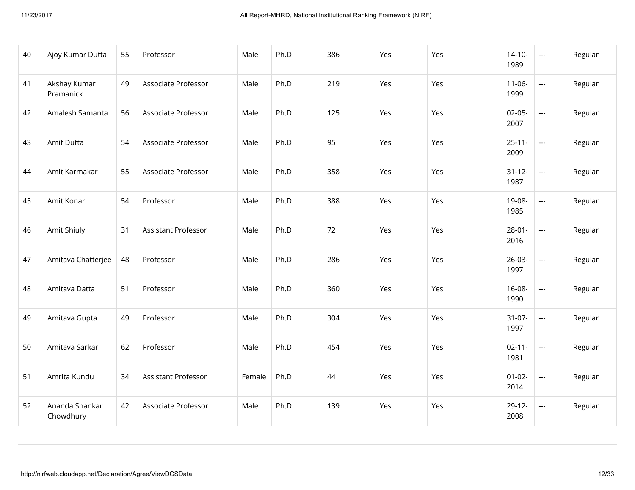| 40 | Ajoy Kumar Dutta            | 55 | Professor           | Male   | Ph.D | 386 | Yes | Yes | $14 - 10 -$<br>1989 | $\scriptstyle\cdots$     | Regular |
|----|-----------------------------|----|---------------------|--------|------|-----|-----|-----|---------------------|--------------------------|---------|
| 41 | Akshay Kumar<br>Pramanick   | 49 | Associate Professor | Male   | Ph.D | 219 | Yes | Yes | $11 - 06 -$<br>1999 | $\overline{\phantom{a}}$ | Regular |
| 42 | Amalesh Samanta             | 56 | Associate Professor | Male   | Ph.D | 125 | Yes | Yes | $02-05-$<br>2007    | $\overline{\phantom{a}}$ | Regular |
| 43 | Amit Dutta                  | 54 | Associate Professor | Male   | Ph.D | 95  | Yes | Yes | $25 - 11 -$<br>2009 | $\overline{\phantom{a}}$ | Regular |
| 44 | Amit Karmakar               | 55 | Associate Professor | Male   | Ph.D | 358 | Yes | Yes | $31 - 12 -$<br>1987 | $\overline{\phantom{a}}$ | Regular |
| 45 | Amit Konar                  | 54 | Professor           | Male   | Ph.D | 388 | Yes | Yes | 19-08-<br>1985      | $\overline{\phantom{a}}$ | Regular |
| 46 | Amit Shiuly                 | 31 | Assistant Professor | Male   | Ph.D | 72  | Yes | Yes | $28 - 01 -$<br>2016 | $\overline{\phantom{a}}$ | Regular |
| 47 | Amitava Chatterjee          | 48 | Professor           | Male   | Ph.D | 286 | Yes | Yes | $26-03-$<br>1997    | $\overline{\phantom{a}}$ | Regular |
| 48 | Amitava Datta               | 51 | Professor           | Male   | Ph.D | 360 | Yes | Yes | 16-08-<br>1990      | $\overline{\phantom{a}}$ | Regular |
| 49 | Amitava Gupta               | 49 | Professor           | Male   | Ph.D | 304 | Yes | Yes | $31-07-$<br>1997    | $\overline{\phantom{a}}$ | Regular |
| 50 | Amitava Sarkar              | 62 | Professor           | Male   | Ph.D | 454 | Yes | Yes | $02 - 11 -$<br>1981 | $\overline{\phantom{a}}$ | Regular |
| 51 | Amrita Kundu                | 34 | Assistant Professor | Female | Ph.D | 44  | Yes | Yes | $01 - 02 -$<br>2014 | $\overline{\phantom{a}}$ | Regular |
| 52 | Ananda Shankar<br>Chowdhury | 42 | Associate Professor | Male   | Ph.D | 139 | Yes | Yes | $29-12-$<br>2008    | $\overline{\phantom{a}}$ | Regular |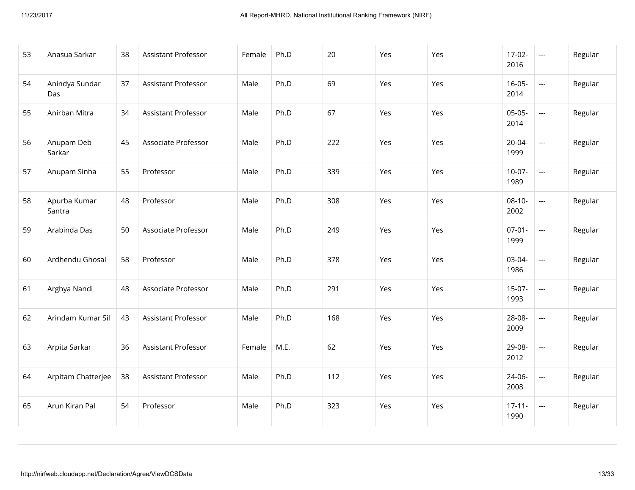| 53 | Anasua Sarkar          | 38 | Assistant Professor        | Female | Ph.D | 20  | Yes | Yes | $17-02-$<br>2016    | $\sim$ $\sim$            | Regular |
|----|------------------------|----|----------------------------|--------|------|-----|-----|-----|---------------------|--------------------------|---------|
| 54 | Anindya Sundar<br>Das  | 37 | Assistant Professor        | Male   | Ph.D | 69  | Yes | Yes | $16 - 05 -$<br>2014 | $\hspace{0.05cm} \ldots$ | Regular |
| 55 | Anirban Mitra          | 34 | <b>Assistant Professor</b> | Male   | Ph.D | 67  | Yes | Yes | $05-05-$<br>2014    | $\overline{\phantom{a}}$ | Regular |
| 56 | Anupam Deb<br>Sarkar   | 45 | Associate Professor        | Male   | Ph.D | 222 | Yes | Yes | 20-04-<br>1999      | $\hspace{0.05cm} \ldots$ | Regular |
| 57 | Anupam Sinha           | 55 | Professor                  | Male   | Ph.D | 339 | Yes | Yes | $10-07-$<br>1989    | $\sim$ $\sim$            | Regular |
| 58 | Apurba Kumar<br>Santra | 48 | Professor                  | Male   | Ph.D | 308 | Yes | Yes | $08-10-$<br>2002    | $\overline{a}$           | Regular |
| 59 | Arabinda Das           | 50 | Associate Professor        | Male   | Ph.D | 249 | Yes | Yes | $07-01-$<br>1999    | $\overline{\phantom{a}}$ | Regular |
| 60 | Ardhendu Ghosal        | 58 | Professor                  | Male   | Ph.D | 378 | Yes | Yes | 03-04-<br>1986      | $\overline{a}$           | Regular |
| 61 | Arghya Nandi           | 48 | Associate Professor        | Male   | Ph.D | 291 | Yes | Yes | $15-07-$<br>1993    | $\hspace{0.05cm} \ldots$ | Regular |
| 62 | Arindam Kumar Sil      | 43 | Assistant Professor        | Male   | Ph.D | 168 | Yes | Yes | 28-08-<br>2009      | $\hspace{0.05cm} \ldots$ | Regular |
| 63 | Arpita Sarkar          | 36 | Assistant Professor        | Female | M.E. | 62  | Yes | Yes | 29-08-<br>2012      | $\hspace{0.05cm} \ldots$ | Regular |
| 64 | Arpitam Chatterjee     | 38 | Assistant Professor        | Male   | Ph.D | 112 | Yes | Yes | 24-06-<br>2008      | $\overline{\phantom{a}}$ | Regular |
| 65 | Arun Kiran Pal         | 54 | Professor                  | Male   | Ph.D | 323 | Yes | Yes | $17 - 11 -$<br>1990 | $\scriptstyle \cdots$    | Regular |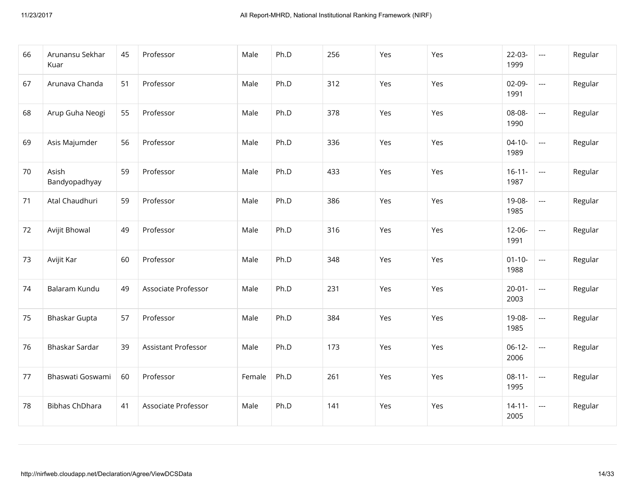| 66 | Arunansu Sekhar<br>Kuar | 45 | Professor                  | Male   | Ph.D | 256 | Yes | Yes | $22-03-$<br>1999    | $\hspace{0.05cm} \ldots$ | Regular |
|----|-------------------------|----|----------------------------|--------|------|-----|-----|-----|---------------------|--------------------------|---------|
| 67 | Arunava Chanda          | 51 | Professor                  | Male   | Ph.D | 312 | Yes | Yes | $02-09-$<br>1991    | $\overline{\phantom{a}}$ | Regular |
| 68 | Arup Guha Neogi         | 55 | Professor                  | Male   | Ph.D | 378 | Yes | Yes | 08-08-<br>1990      | $\overline{\phantom{a}}$ | Regular |
| 69 | Asis Majumder           | 56 | Professor                  | Male   | Ph.D | 336 | Yes | Yes | $04 - 10 -$<br>1989 | $\scriptstyle\cdots$     | Regular |
| 70 | Asish<br>Bandyopadhyay  | 59 | Professor                  | Male   | Ph.D | 433 | Yes | Yes | $16 - 11 -$<br>1987 | $\hspace{0.05cm} \ldots$ | Regular |
| 71 | Atal Chaudhuri          | 59 | Professor                  | Male   | Ph.D | 386 | Yes | Yes | 19-08-<br>1985      | $\scriptstyle\cdots$     | Regular |
| 72 | Avijit Bhowal           | 49 | Professor                  | Male   | Ph.D | 316 | Yes | Yes | $12 - 06 -$<br>1991 | $\overline{\phantom{a}}$ | Regular |
| 73 | Avijit Kar              | 60 | Professor                  | Male   | Ph.D | 348 | Yes | Yes | $01 - 10 -$<br>1988 | $\overline{\phantom{a}}$ | Regular |
| 74 | Balaram Kundu           | 49 | Associate Professor        | Male   | Ph.D | 231 | Yes | Yes | $20 - 01 -$<br>2003 | $\overline{\phantom{a}}$ | Regular |
| 75 | Bhaskar Gupta           | 57 | Professor                  | Male   | Ph.D | 384 | Yes | Yes | 19-08-<br>1985      | ---                      | Regular |
| 76 | Bhaskar Sardar          | 39 | <b>Assistant Professor</b> | Male   | Ph.D | 173 | Yes | Yes | $06-12-$<br>2006    | $\overline{\phantom{a}}$ | Regular |
| 77 | Bhaswati Goswami        | 60 | Professor                  | Female | Ph.D | 261 | Yes | Yes | $08-11-$<br>1995    | $\ldots$                 | Regular |
| 78 | <b>Bibhas ChDhara</b>   | 41 | Associate Professor        | Male   | Ph.D | 141 | Yes | Yes | $14 - 11 -$<br>2005 | $\scriptstyle\cdots$     | Regular |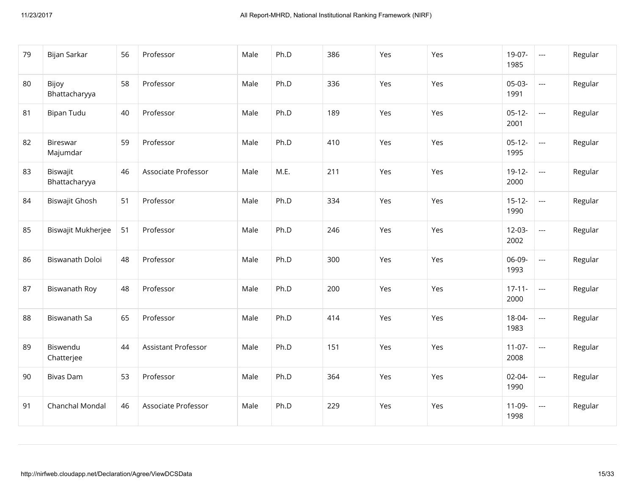| 79 | Bijan Sarkar              | 56 | Professor                  | Male | Ph.D | 386 | Yes | Yes | 19-07-<br>1985      | $\scriptstyle\cdots$                     | Regular |
|----|---------------------------|----|----------------------------|------|------|-----|-----|-----|---------------------|------------------------------------------|---------|
| 80 | Bijoy<br>Bhattacharyya    | 58 | Professor                  | Male | Ph.D | 336 | Yes | Yes | $05-03-$<br>1991    | $\hspace{0.05cm} \ldots \hspace{0.05cm}$ | Regular |
| 81 | <b>Bipan Tudu</b>         | 40 | Professor                  | Male | Ph.D | 189 | Yes | Yes | $05-12-$<br>2001    | $\overline{\phantom{a}}$                 | Regular |
| 82 | Bireswar<br>Majumdar      | 59 | Professor                  | Male | Ph.D | 410 | Yes | Yes | $05-12-$<br>1995    | $\overline{\phantom{a}}$                 | Regular |
| 83 | Biswajit<br>Bhattacharyya | 46 | Associate Professor        | Male | M.E. | 211 | Yes | Yes | $19-12-$<br>2000    | $\overline{\phantom{a}}$                 | Regular |
| 84 | Biswajit Ghosh            | 51 | Professor                  | Male | Ph.D | 334 | Yes | Yes | $15 - 12 -$<br>1990 | $\overline{\phantom{a}}$                 | Regular |
| 85 | Biswajit Mukherjee        | 51 | Professor                  | Male | Ph.D | 246 | Yes | Yes | $12-03-$<br>2002    | $\overline{a}$                           | Regular |
| 86 | Biswanath Doloi           | 48 | Professor                  | Male | Ph.D | 300 | Yes | Yes | 06-09-<br>1993      | $\overline{a}$                           | Regular |
| 87 | Biswanath Roy             | 48 | Professor                  | Male | Ph.D | 200 | Yes | Yes | $17 - 11 -$<br>2000 | $\overline{a}$                           | Regular |
| 88 | Biswanath Sa              | 65 | Professor                  | Male | Ph.D | 414 | Yes | Yes | 18-04-<br>1983      | $\overline{a}$                           | Regular |
| 89 | Biswendu<br>Chatterjee    | 44 | <b>Assistant Professor</b> | Male | Ph.D | 151 | Yes | Yes | $11-07-$<br>2008    | $\overline{\phantom{a}}$                 | Regular |
| 90 | <b>Bivas Dam</b>          | 53 | Professor                  | Male | Ph.D | 364 | Yes | Yes | $02 - 04 -$<br>1990 | $\overline{a}$                           | Regular |
| 91 | Chanchal Mondal           | 46 | Associate Professor        | Male | Ph.D | 229 | Yes | Yes | $11-09-$<br>1998    | $\hspace{0.05cm} \ldots \hspace{0.05cm}$ | Regular |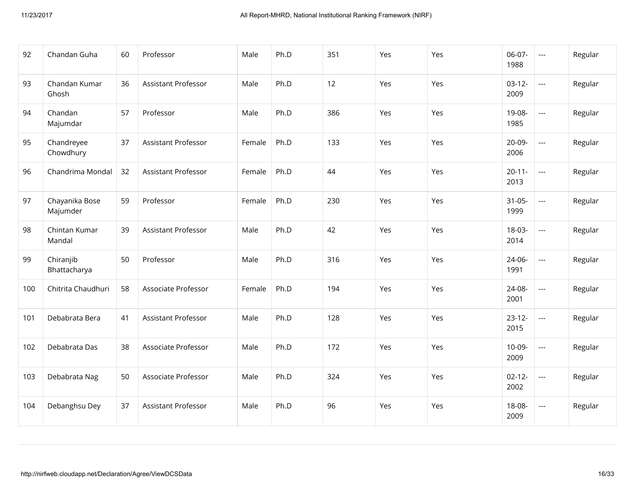| 92  | Chandan Guha               | 60 | Professor                  | Male   | Ph.D | 351 | Yes | Yes | 06-07-<br>1988      | $\hspace{0.05cm} \ldots$                 | Regular |
|-----|----------------------------|----|----------------------------|--------|------|-----|-----|-----|---------------------|------------------------------------------|---------|
| 93  | Chandan Kumar<br>Ghosh     | 36 | <b>Assistant Professor</b> | Male   | Ph.D | 12  | Yes | Yes | $03-12-$<br>2009    | $\overline{\phantom{a}}$                 | Regular |
| 94  | Chandan<br>Majumdar        | 57 | Professor                  | Male   | Ph.D | 386 | Yes | Yes | 19-08-<br>1985      | $\overline{\phantom{a}}$                 | Regular |
| 95  | Chandreyee<br>Chowdhury    | 37 | <b>Assistant Professor</b> | Female | Ph.D | 133 | Yes | Yes | 20-09-<br>2006      | $\overline{\phantom{a}}$                 | Regular |
| 96  | Chandrima Mondal           | 32 | Assistant Professor        | Female | Ph.D | 44  | Yes | Yes | $20 - 11 -$<br>2013 | $\overline{a}$                           | Regular |
| 97  | Chayanika Bose<br>Majumder | 59 | Professor                  | Female | Ph.D | 230 | Yes | Yes | $31 - 05 -$<br>1999 | $\overline{\phantom{a}}$                 | Regular |
| 98  | Chintan Kumar<br>Mandal    | 39 | Assistant Professor        | Male   | Ph.D | 42  | Yes | Yes | 18-03-<br>2014      | $\hspace{0.05cm} \ldots \hspace{0.05cm}$ | Regular |
| 99  | Chiranjib<br>Bhattacharya  | 50 | Professor                  | Male   | Ph.D | 316 | Yes | Yes | 24-06-<br>1991      | $\overline{\phantom{a}}$                 | Regular |
| 100 | Chitrita Chaudhuri         | 58 | Associate Professor        | Female | Ph.D | 194 | Yes | Yes | 24-08-<br>2001      | $\overline{\phantom{a}}$                 | Regular |
| 101 | Debabrata Bera             | 41 | Assistant Professor        | Male   | Ph.D | 128 | Yes | Yes | $23-12-$<br>2015    | ---                                      | Regular |
| 102 | Debabrata Das              | 38 | Associate Professor        | Male   | Ph.D | 172 | Yes | Yes | $10-09-$<br>2009    | $\overline{\phantom{a}}$                 | Regular |
| 103 | Debabrata Nag              | 50 | Associate Professor        | Male   | Ph.D | 324 | Yes | Yes | $02 - 12 -$<br>2002 | $\hspace{0.05cm} \ldots$                 | Regular |
| 104 | Debanghsu Dey              | 37 | Assistant Professor        | Male   | Ph.D | 96  | Yes | Yes | 18-08-<br>2009      | $\hspace{0.05cm} \ldots$                 | Regular |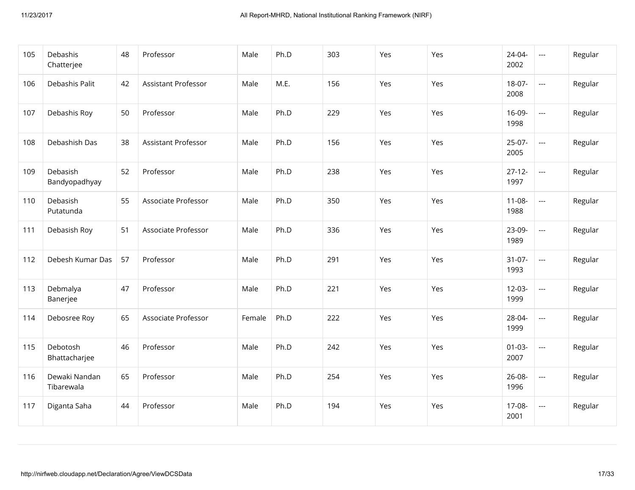| 105 | Debashis<br>Chatterjee      | 48 | Professor                  | Male   | Ph.D | 303 | Yes | Yes | 24-04-<br>2002      | $\hspace{0.05cm} \ldots$                 | Regular |
|-----|-----------------------------|----|----------------------------|--------|------|-----|-----|-----|---------------------|------------------------------------------|---------|
| 106 | Debashis Palit              | 42 | <b>Assistant Professor</b> | Male   | M.E. | 156 | Yes | Yes | 18-07-<br>2008      | $\overline{\phantom{a}}$                 | Regular |
| 107 | Debashis Roy                | 50 | Professor                  | Male   | Ph.D | 229 | Yes | Yes | 16-09-<br>1998      | $\hspace{0.05cm} \ldots \hspace{0.05cm}$ | Regular |
| 108 | Debashish Das               | 38 | <b>Assistant Professor</b> | Male   | Ph.D | 156 | Yes | Yes | $25-07-$<br>2005    | $\overline{\phantom{a}}$                 | Regular |
| 109 | Debasish<br>Bandyopadhyay   | 52 | Professor                  | Male   | Ph.D | 238 | Yes | Yes | $27 - 12 -$<br>1997 | $\overline{\phantom{a}}$                 | Regular |
| 110 | Debasish<br>Putatunda       | 55 | Associate Professor        | Male   | Ph.D | 350 | Yes | Yes | $11 - 08 -$<br>1988 | $\hspace{0.05cm} \ldots$                 | Regular |
| 111 | Debasish Roy                | 51 | Associate Professor        | Male   | Ph.D | 336 | Yes | Yes | 23-09-<br>1989      | $\hspace{0.05cm} \ldots$                 | Regular |
| 112 | Debesh Kumar Das            | 57 | Professor                  | Male   | Ph.D | 291 | Yes | Yes | $31-07-$<br>1993    | $\overline{\phantom{a}}$                 | Regular |
| 113 | Debmalya<br>Banerjee        | 47 | Professor                  | Male   | Ph.D | 221 | Yes | Yes | $12-03-$<br>1999    | $\hspace{0.05cm} \ldots$                 | Regular |
| 114 | Debosree Roy                | 65 | Associate Professor        | Female | Ph.D | 222 | Yes | Yes | 28-04-<br>1999      | $\hspace{0.05cm} \ldots$                 | Regular |
| 115 | Debotosh<br>Bhattacharjee   | 46 | Professor                  | Male   | Ph.D | 242 | Yes | Yes | $01 - 03 -$<br>2007 | $\overline{\phantom{a}}$                 | Regular |
| 116 | Dewaki Nandan<br>Tibarewala | 65 | Professor                  | Male   | Ph.D | 254 | Yes | Yes | 26-08-<br>1996      | $\hspace{0.05cm} \ldots$                 | Regular |
| 117 | Diganta Saha                | 44 | Professor                  | Male   | Ph.D | 194 | Yes | Yes | 17-08-<br>2001      | $\hspace{0.05cm} \ldots$                 | Regular |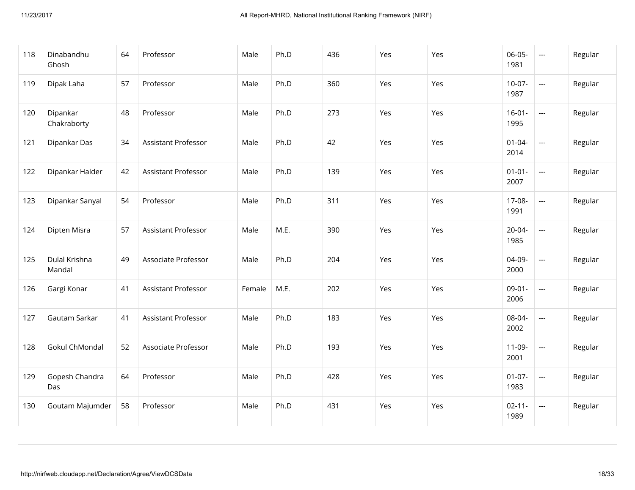| 118 | Dinabandhu<br>Ghosh     | 64 | Professor                  | Male   | Ph.D | 436 | Yes | Yes | 06-05-<br>1981      | $\hspace{0.05cm} \ldots$ | Regular |
|-----|-------------------------|----|----------------------------|--------|------|-----|-----|-----|---------------------|--------------------------|---------|
| 119 | Dipak Laha              | 57 | Professor                  | Male   | Ph.D | 360 | Yes | Yes | $10-07-$<br>1987    | $\overline{\phantom{a}}$ | Regular |
| 120 | Dipankar<br>Chakraborty | 48 | Professor                  | Male   | Ph.D | 273 | Yes | Yes | $16-01-$<br>1995    | $\overline{\phantom{a}}$ | Regular |
| 121 | Dipankar Das            | 34 | Assistant Professor        | Male   | Ph.D | 42  | Yes | Yes | $01 - 04 -$<br>2014 | $\overline{\phantom{a}}$ | Regular |
| 122 | Dipankar Halder         | 42 | <b>Assistant Professor</b> | Male   | Ph.D | 139 | Yes | Yes | $01 - 01 -$<br>2007 | $\overline{\phantom{a}}$ | Regular |
| 123 | Dipankar Sanyal         | 54 | Professor                  | Male   | Ph.D | 311 | Yes | Yes | 17-08-<br>1991      | $\hspace{0.05cm} \ldots$ | Regular |
| 124 | Dipten Misra            | 57 | Assistant Professor        | Male   | M.E. | 390 | Yes | Yes | 20-04-<br>1985      | $\hspace{0.05cm} \ldots$ | Regular |
| 125 | Dulal Krishna<br>Mandal | 49 | Associate Professor        | Male   | Ph.D | 204 | Yes | Yes | 04-09-<br>2000      | $\overline{\phantom{a}}$ | Regular |
| 126 | Gargi Konar             | 41 | Assistant Professor        | Female | M.E. | 202 | Yes | Yes | $09-01-$<br>2006    | $\hspace{0.05cm} \ldots$ | Regular |
| 127 | Gautam Sarkar           | 41 | Assistant Professor        | Male   | Ph.D | 183 | Yes | Yes | 08-04-<br>2002      | $\hspace{0.05cm} \ldots$ | Regular |
| 128 | Gokul ChMondal          | 52 | Associate Professor        | Male   | Ph.D | 193 | Yes | Yes | $11-09-$<br>2001    | $\hspace{0.05cm} \ldots$ | Regular |
| 129 | Gopesh Chandra<br>Das   | 64 | Professor                  | Male   | Ph.D | 428 | Yes | Yes | $01-07-$<br>1983    | $\hspace{0.05cm} \ldots$ | Regular |
| 130 | Goutam Majumder         | 58 | Professor                  | Male   | Ph.D | 431 | Yes | Yes | $02 - 11 -$<br>1989 | $\hspace{0.05cm} \ldots$ | Regular |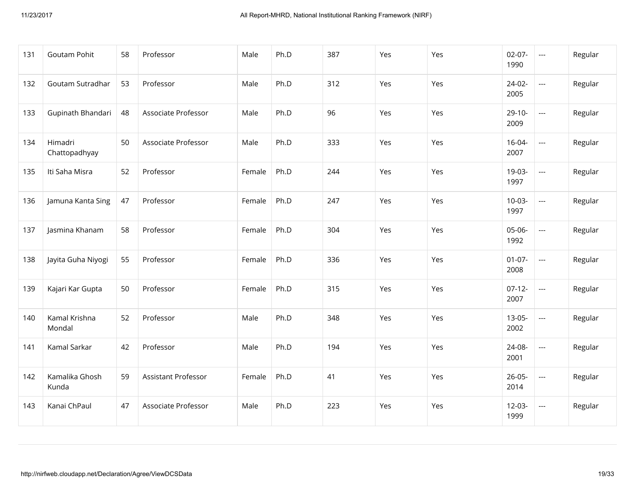| 131 | Goutam Pohit             | 58 | Professor                  | Male   | Ph.D | 387 | Yes | Yes | $02-07-$<br>1990    | $\hspace{0.05cm} \ldots$ | Regular |
|-----|--------------------------|----|----------------------------|--------|------|-----|-----|-----|---------------------|--------------------------|---------|
| 132 | Goutam Sutradhar         | 53 | Professor                  | Male   | Ph.D | 312 | Yes | Yes | 24-02-<br>2005      | $\overline{\phantom{a}}$ | Regular |
| 133 | Gupinath Bhandari        | 48 | Associate Professor        | Male   | Ph.D | 96  | Yes | Yes | $29-10-$<br>2009    | $\overline{a}$           | Regular |
| 134 | Himadri<br>Chattopadhyay | 50 | Associate Professor        | Male   | Ph.D | 333 | Yes | Yes | $16 - 04 -$<br>2007 | $\overline{\phantom{a}}$ | Regular |
| 135 | Iti Saha Misra           | 52 | Professor                  | Female | Ph.D | 244 | Yes | Yes | 19-03-<br>1997      | $\overline{\phantom{a}}$ | Regular |
| 136 | Jamuna Kanta Sing        | 47 | Professor                  | Female | Ph.D | 247 | Yes | Yes | $10-03-$<br>1997    | $\hspace{0.05cm} \ldots$ | Regular |
| 137 | Jasmina Khanam           | 58 | Professor                  | Female | Ph.D | 304 | Yes | Yes | 05-06-<br>1992      | $\hspace{0.05cm} \ldots$ | Regular |
| 138 | Jayita Guha Niyogi       | 55 | Professor                  | Female | Ph.D | 336 | Yes | Yes | $01-07-$<br>2008    | $\overline{\phantom{a}}$ | Regular |
| 139 | Kajari Kar Gupta         | 50 | Professor                  | Female | Ph.D | 315 | Yes | Yes | $07-12-$<br>2007    | $\hspace{0.05cm} \ldots$ | Regular |
| 140 | Kamal Krishna<br>Mondal  | 52 | Professor                  | Male   | Ph.D | 348 | Yes | Yes | $13-05-$<br>2002    | $\hspace{0.05cm} \ldots$ | Regular |
| 141 | Kamal Sarkar             | 42 | Professor                  | Male   | Ph.D | 194 | Yes | Yes | 24-08-<br>2001      | $\overline{\phantom{a}}$ | Regular |
| 142 | Kamalika Ghosh<br>Kunda  | 59 | <b>Assistant Professor</b> | Female | Ph.D | 41  | Yes | Yes | $26 - 05 -$<br>2014 | $\hspace{0.05cm} \ldots$ | Regular |
| 143 | Kanai ChPaul             | 47 | Associate Professor        | Male   | Ph.D | 223 | Yes | Yes | $12-03-$<br>1999    | $\hspace{0.05cm} \ldots$ | Regular |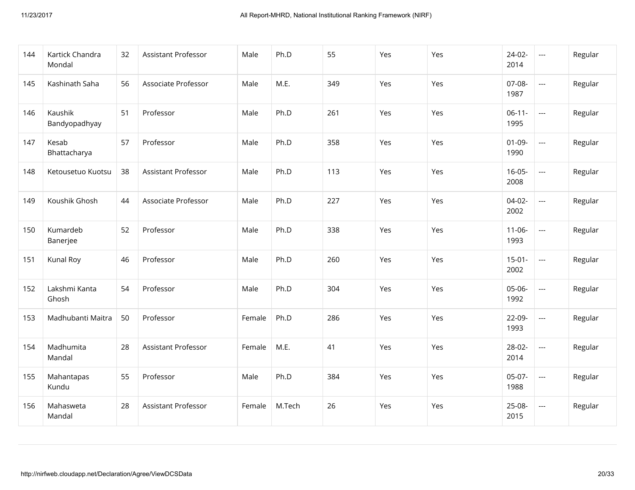| 144 | Kartick Chandra<br>Mondal | 32 | Assistant Professor        | Male   | Ph.D   | 55  | Yes | Yes | $24-02-$<br>2014    | $\hspace{0.05cm} \ldots$                 | Regular |
|-----|---------------------------|----|----------------------------|--------|--------|-----|-----|-----|---------------------|------------------------------------------|---------|
| 145 | Kashinath Saha            | 56 | Associate Professor        | Male   | M.E.   | 349 | Yes | Yes | 07-08-<br>1987      | $\hspace{0.05cm} \ldots \hspace{0.05cm}$ | Regular |
| 146 | Kaushik<br>Bandyopadhyay  | 51 | Professor                  | Male   | Ph.D   | 261 | Yes | Yes | $06-11-$<br>1995    | $\hspace{0.05cm} \ldots$                 | Regular |
| 147 | Kesab<br>Bhattacharya     | 57 | Professor                  | Male   | Ph.D   | 358 | Yes | Yes | $01-09-$<br>1990    | $\hspace{0.05cm} \ldots \hspace{0.05cm}$ | Regular |
| 148 | Ketousetuo Kuotsu         | 38 | <b>Assistant Professor</b> | Male   | Ph.D   | 113 | Yes | Yes | $16 - 05 -$<br>2008 | $\overline{\phantom{a}}$                 | Regular |
| 149 | Koushik Ghosh             | 44 | Associate Professor        | Male   | Ph.D   | 227 | Yes | Yes | $04-02-$<br>2002    | $\hspace{0.05cm} \ldots \hspace{0.05cm}$ | Regular |
| 150 | Kumardeb<br>Banerjee      | 52 | Professor                  | Male   | Ph.D   | 338 | Yes | Yes | $11 - 06 -$<br>1993 | $\overline{\phantom{a}}$                 | Regular |
| 151 | Kunal Roy                 | 46 | Professor                  | Male   | Ph.D   | 260 | Yes | Yes | $15 - 01 -$<br>2002 | $\hspace{0.05cm} \ldots \hspace{0.05cm}$ | Regular |
| 152 | Lakshmi Kanta<br>Ghosh    | 54 | Professor                  | Male   | Ph.D   | 304 | Yes | Yes | 05-06-<br>1992      | $\overline{\phantom{a}}$                 | Regular |
| 153 | Madhubanti Maitra         | 50 | Professor                  | Female | Ph.D   | 286 | Yes | Yes | 22-09-<br>1993      | $\hspace{0.05cm} \ldots$                 | Regular |
| 154 | Madhumita<br>Mandal       | 28 | Assistant Professor        | Female | M.E.   | 41  | Yes | Yes | 28-02-<br>2014      | $\overline{\phantom{a}}$                 | Regular |
| 155 | Mahantapas<br>Kundu       | 55 | Professor                  | Male   | Ph.D   | 384 | Yes | Yes | 05-07-<br>1988      | $\hspace{0.05cm} \ldots$                 | Regular |
| 156 | Mahasweta<br>Mandal       | 28 | <b>Assistant Professor</b> | Female | M.Tech | 26  | Yes | Yes | 25-08-<br>2015      | $\hspace{0.05cm} \ldots$                 | Regular |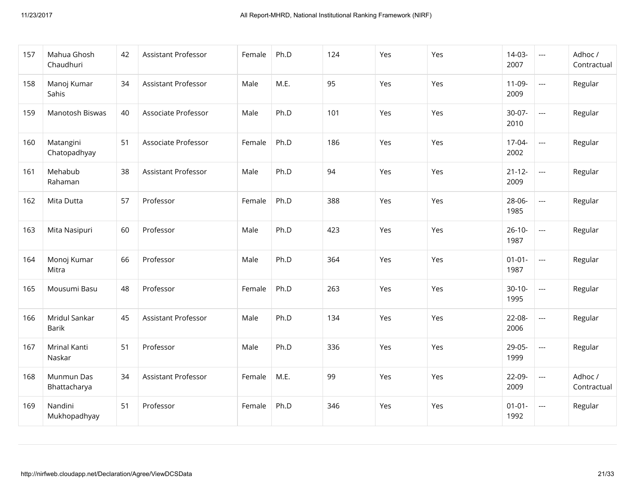| 157 | Mahua Ghosh<br>Chaudhuri   | 42 | Assistant Professor        | Female | Ph.D | 124 | Yes | Yes | $14-03-$<br>2007    | $\hspace{0.05cm} \ldots$ | Adhoc /<br>Contractual |
|-----|----------------------------|----|----------------------------|--------|------|-----|-----|-----|---------------------|--------------------------|------------------------|
| 158 | Manoj Kumar<br>Sahis       | 34 | Assistant Professor        | Male   | M.E. | 95  | Yes | Yes | $11-09-$<br>2009    | $\overline{\phantom{a}}$ | Regular                |
| 159 | Manotosh Biswas            | 40 | Associate Professor        | Male   | Ph.D | 101 | Yes | Yes | $30-07-$<br>2010    | $\overline{a}$           | Regular                |
| 160 | Matangini<br>Chatopadhyay  | 51 | Associate Professor        | Female | Ph.D | 186 | Yes | Yes | 17-04-<br>2002      | $\overline{a}$           | Regular                |
| 161 | Mehabub<br>Rahaman         | 38 | <b>Assistant Professor</b> | Male   | Ph.D | 94  | Yes | Yes | $21 - 12 -$<br>2009 | $\overline{a}$           | Regular                |
| 162 | Mita Dutta                 | 57 | Professor                  | Female | Ph.D | 388 | Yes | Yes | 28-06-<br>1985      | $\overline{a}$           | Regular                |
| 163 | Mita Nasipuri              | 60 | Professor                  | Male   | Ph.D | 423 | Yes | Yes | $26 - 10 -$<br>1987 | $\overline{a}$           | Regular                |
| 164 | Monoj Kumar<br>Mitra       | 66 | Professor                  | Male   | Ph.D | 364 | Yes | Yes | $01 - 01 -$<br>1987 | $\overline{a}$           | Regular                |
| 165 | Mousumi Basu               | 48 | Professor                  | Female | Ph.D | 263 | Yes | Yes | $30-10-$<br>1995    | $\overline{\phantom{a}}$ | Regular                |
| 166 | Mridul Sankar<br>Barik     | 45 | Assistant Professor        | Male   | Ph.D | 134 | Yes | Yes | 22-08-<br>2006      | $\overline{a}$           | Regular                |
| 167 | Mrinal Kanti<br>Naskar     | 51 | Professor                  | Male   | Ph.D | 336 | Yes | Yes | 29-05-<br>1999      | $\overline{\phantom{a}}$ | Regular                |
| 168 | Munmun Das<br>Bhattacharya | 34 | Assistant Professor        | Female | M.E. | 99  | Yes | Yes | 22-09-<br>2009      | $\overline{a}$           | Adhoc /<br>Contractual |
| 169 | Nandini<br>Mukhopadhyay    | 51 | Professor                  | Female | Ph.D | 346 | Yes | Yes | $01 - 01 -$<br>1992 | $\hspace{0.05cm} \ldots$ | Regular                |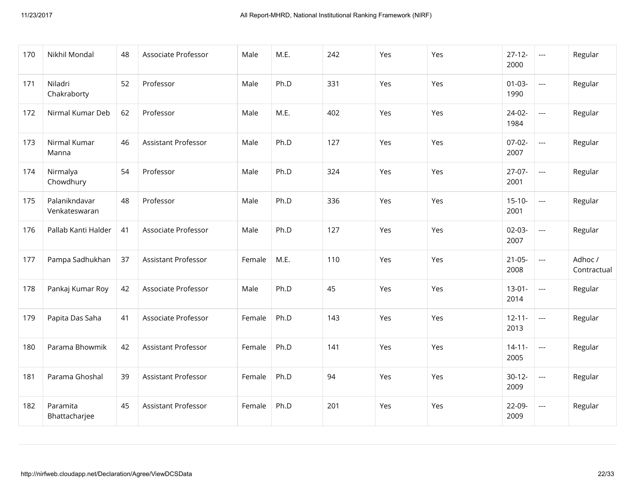| 170 | Nikhil Mondal                  | 48 | Associate Professor        | Male   | M.E. | 242 | Yes | Yes | $27-12-$<br>2000    | $\scriptstyle\cdots$     | Regular                |
|-----|--------------------------------|----|----------------------------|--------|------|-----|-----|-----|---------------------|--------------------------|------------------------|
| 171 | Niladri<br>Chakraborty         | 52 | Professor                  | Male   | Ph.D | 331 | Yes | Yes | $01-03-$<br>1990    | $\overline{a}$           | Regular                |
| 172 | Nirmal Kumar Deb               | 62 | Professor                  | Male   | M.E. | 402 | Yes | Yes | $24-02-$<br>1984    | $\overline{\phantom{a}}$ | Regular                |
| 173 | Nirmal Kumar<br>Manna          | 46 | Assistant Professor        | Male   | Ph.D | 127 | Yes | Yes | $07-02-$<br>2007    | $\overline{\phantom{a}}$ | Regular                |
| 174 | Nirmalya<br>Chowdhury          | 54 | Professor                  | Male   | Ph.D | 324 | Yes | Yes | $27-07-$<br>2001    | $\overline{\phantom{a}}$ | Regular                |
| 175 | Palanikndavar<br>Venkateswaran | 48 | Professor                  | Male   | Ph.D | 336 | Yes | Yes | $15-10-$<br>2001    | $\overline{\phantom{a}}$ | Regular                |
| 176 | Pallab Kanti Halder            | 41 | Associate Professor        | Male   | Ph.D | 127 | Yes | Yes | $02-03-$<br>2007    | $\overline{\phantom{a}}$ | Regular                |
| 177 | Pampa Sadhukhan                | 37 | <b>Assistant Professor</b> | Female | M.E. | 110 | Yes | Yes | $21-05-$<br>2008    | $\overline{\phantom{a}}$ | Adhoc /<br>Contractual |
| 178 | Pankaj Kumar Roy               | 42 | Associate Professor        | Male   | Ph.D | 45  | Yes | Yes | $13-01-$<br>2014    | $\hspace{0.05cm} \ldots$ | Regular                |
| 179 | Papita Das Saha                | 41 | Associate Professor        | Female | Ph.D | 143 | Yes | Yes | $12 - 11 -$<br>2013 | $\hspace{0.05cm} \ldots$ | Regular                |
| 180 | Parama Bhowmik                 | 42 | Assistant Professor        | Female | Ph.D | 141 | Yes | Yes | $14 - 11 -$<br>2005 | $\hspace{0.05cm} \ldots$ | Regular                |
| 181 | Parama Ghoshal                 | 39 | <b>Assistant Professor</b> | Female | Ph.D | 94  | Yes | Yes | $30-12-$<br>2009    | $\overline{\phantom{a}}$ | Regular                |
| 182 | Paramita<br>Bhattacharjee      | 45 | <b>Assistant Professor</b> | Female | Ph.D | 201 | Yes | Yes | 22-09-<br>2009      | $\hspace{0.05cm} \ldots$ | Regular                |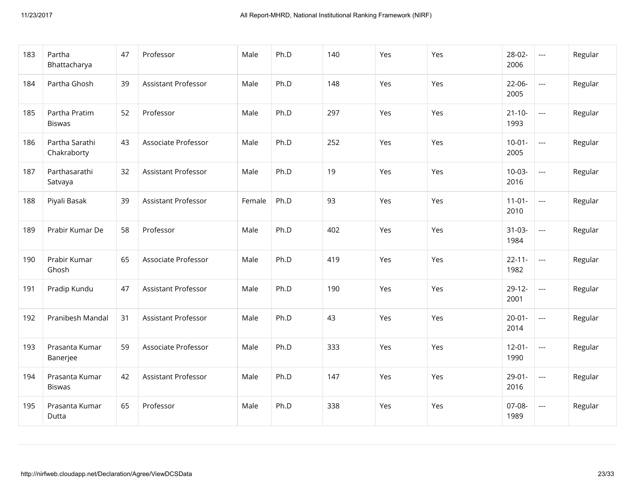| 183 | Partha<br>Bhattacharya          | 47 | Professor                  | Male   | Ph.D | 140 | Yes | Yes | 28-02-<br>2006      | $\hspace{0.05cm} \ldots$                 | Regular |
|-----|---------------------------------|----|----------------------------|--------|------|-----|-----|-----|---------------------|------------------------------------------|---------|
| 184 | Partha Ghosh                    | 39 | Assistant Professor        | Male   | Ph.D | 148 | Yes | Yes | $22-06-$<br>2005    | $\hspace{0.05cm} \ldots \hspace{0.05cm}$ | Regular |
| 185 | Partha Pratim<br><b>Biswas</b>  | 52 | Professor                  | Male   | Ph.D | 297 | Yes | Yes | $21 - 10 -$<br>1993 | $\hspace{0.05cm} \ldots$                 | Regular |
| 186 | Partha Sarathi<br>Chakraborty   | 43 | Associate Professor        | Male   | Ph.D | 252 | Yes | Yes | $10-01 -$<br>2005   | $\hspace{0.05cm} \ldots \hspace{0.05cm}$ | Regular |
| 187 | Parthasarathi<br>Satvaya        | 32 | <b>Assistant Professor</b> | Male   | Ph.D | 19  | Yes | Yes | $10-03-$<br>2016    | $\overline{\phantom{a}}$                 | Regular |
| 188 | Piyali Basak                    | 39 | Assistant Professor        | Female | Ph.D | 93  | Yes | Yes | $11 - 01 -$<br>2010 | $\hspace{0.05cm} \ldots \hspace{0.05cm}$ | Regular |
| 189 | Prabir Kumar De                 | 58 | Professor                  | Male   | Ph.D | 402 | Yes | Yes | $31-03-$<br>1984    | $\hspace{0.05cm} \ldots$                 | Regular |
| 190 | Prabir Kumar<br>Ghosh           | 65 | Associate Professor        | Male   | Ph.D | 419 | Yes | Yes | $22 - 11 -$<br>1982 | $\hspace{0.05cm} \ldots \hspace{0.05cm}$ | Regular |
| 191 | Pradip Kundu                    | 47 | <b>Assistant Professor</b> | Male   | Ph.D | 190 | Yes | Yes | $29-12-$<br>2001    | $\hspace{0.05cm} \ldots \hspace{0.05cm}$ | Regular |
| 192 | Pranibesh Mandal                | 31 | Assistant Professor        | Male   | Ph.D | 43  | Yes | Yes | $20 - 01 -$<br>2014 | $\hspace{0.05cm} \ldots$                 | Regular |
| 193 | Prasanta Kumar<br>Banerjee      | 59 | Associate Professor        | Male   | Ph.D | 333 | Yes | Yes | $12 - 01 -$<br>1990 | $\hspace{0.05cm} \ldots$                 | Regular |
| 194 | Prasanta Kumar<br><b>Biswas</b> | 42 | Assistant Professor        | Male   | Ph.D | 147 | Yes | Yes | $29 - 01 -$<br>2016 | $\hspace{0.05cm} \ldots$                 | Regular |
| 195 | Prasanta Kumar<br>Dutta         | 65 | Professor                  | Male   | Ph.D | 338 | Yes | Yes | 07-08-<br>1989      | $\hspace{0.05cm} \ldots$                 | Regular |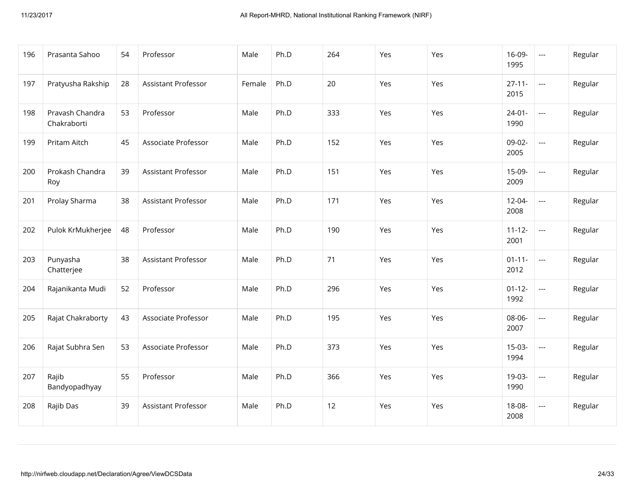| 196 | Prasanta Sahoo                 | 54 | Professor                  | Male   | Ph.D | 264 | Yes | Yes | 16-09-<br>1995      | $\hspace{0.05cm} \ldots$                 | Regular |
|-----|--------------------------------|----|----------------------------|--------|------|-----|-----|-----|---------------------|------------------------------------------|---------|
| 197 | Pratyusha Rakship              | 28 | <b>Assistant Professor</b> | Female | Ph.D | 20  | Yes | Yes | $27 - 11 -$<br>2015 | $\overline{\phantom{a}}$                 | Regular |
| 198 | Pravash Chandra<br>Chakraborti | 53 | Professor                  | Male   | Ph.D | 333 | Yes | Yes | $24 - 01 -$<br>1990 | $\hspace{0.05cm} \ldots \hspace{0.05cm}$ | Regular |
| 199 | Pritam Aitch                   | 45 | Associate Professor        | Male   | Ph.D | 152 | Yes | Yes | 09-02-<br>2005      | $\hspace{0.05cm} \ldots \hspace{0.05cm}$ | Regular |
| 200 | Prokash Chandra<br>Roy         | 39 | <b>Assistant Professor</b> | Male   | Ph.D | 151 | Yes | Yes | 15-09-<br>2009      | $\hspace{0.05cm} \ldots \hspace{0.05cm}$ | Regular |
| 201 | Prolay Sharma                  | 38 | <b>Assistant Professor</b> | Male   | Ph.D | 171 | Yes | Yes | $12 - 04 -$<br>2008 | $\overline{\phantom{a}}$                 | Regular |
| 202 | Pulok KrMukherjee              | 48 | Professor                  | Male   | Ph.D | 190 | Yes | Yes | $11 - 12 -$<br>2001 | $\hspace{0.05cm} \ldots \hspace{0.05cm}$ | Regular |
| 203 | Punyasha<br>Chatterjee         | 38 | <b>Assistant Professor</b> | Male   | Ph.D | 71  | Yes | Yes | $01 - 11 -$<br>2012 | $\overline{\phantom{a}}$                 | Regular |
| 204 | Rajanikanta Mudi               | 52 | Professor                  | Male   | Ph.D | 296 | Yes | Yes | $01 - 12 -$<br>1992 | $\overline{\phantom{a}}$                 | Regular |
| 205 | Rajat Chakraborty              | 43 | Associate Professor        | Male   | Ph.D | 195 | Yes | Yes | 08-06-<br>2007      | $\overline{\phantom{a}}$                 | Regular |
| 206 | Rajat Subhra Sen               | 53 | Associate Professor        | Male   | Ph.D | 373 | Yes | Yes | $15-03-$<br>1994    | $\hspace{0.05cm} \ldots$                 | Regular |
| 207 | Rajib<br>Bandyopadhyay         | 55 | Professor                  | Male   | Ph.D | 366 | Yes | Yes | 19-03-<br>1990      | $\hspace{0.05cm} \ldots$                 | Regular |
| 208 | Rajib Das                      | 39 | <b>Assistant Professor</b> | Male   | Ph.D | 12  | Yes | Yes | 18-08-<br>2008      | $\hspace{0.05cm} \ldots$                 | Regular |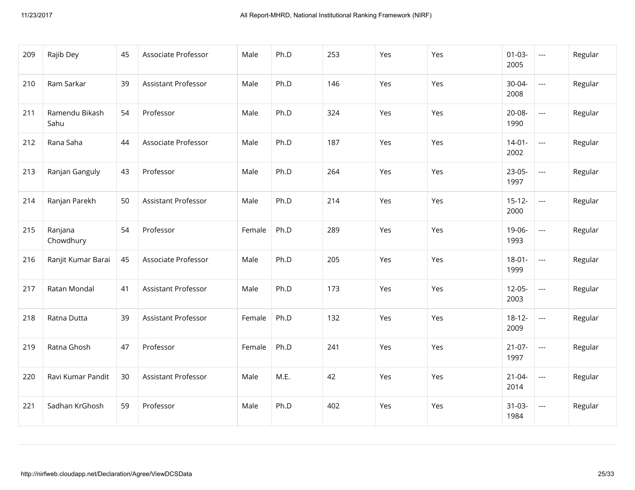| 209 | Rajib Dey              | 45 | Associate Professor        | Male   | Ph.D | 253 | Yes | Yes | $01 - 03 -$<br>2005 | $\sim$ $\sim$            | Regular |
|-----|------------------------|----|----------------------------|--------|------|-----|-----|-----|---------------------|--------------------------|---------|
| 210 | Ram Sarkar             | 39 | <b>Assistant Professor</b> | Male   | Ph.D | 146 | Yes | Yes | 30-04-<br>2008      | $---$                    | Regular |
| 211 | Ramendu Bikash<br>Sahu | 54 | Professor                  | Male   | Ph.D | 324 | Yes | Yes | 20-08-<br>1990      | $\overline{\phantom{a}}$ | Regular |
| 212 | Rana Saha              | 44 | Associate Professor        | Male   | Ph.D | 187 | Yes | Yes | $14-01-$<br>2002    | $\overline{a}$           | Regular |
| 213 | Ranjan Ganguly         | 43 | Professor                  | Male   | Ph.D | 264 | Yes | Yes | $23-05-$<br>1997    | $\overline{a}$           | Regular |
| 214 | Ranjan Parekh          | 50 | <b>Assistant Professor</b> | Male   | Ph.D | 214 | Yes | Yes | $15 - 12 -$<br>2000 | $\sim$ $\sim$            | Regular |
| 215 | Ranjana<br>Chowdhury   | 54 | Professor                  | Female | Ph.D | 289 | Yes | Yes | 19-06-<br>1993      | $\overline{\phantom{a}}$ | Regular |
| 216 | Ranjit Kumar Barai     | 45 | Associate Professor        | Male   | Ph.D | 205 | Yes | Yes | $18-01-$<br>1999    | $\overline{\phantom{a}}$ | Regular |
| 217 | Ratan Mondal           | 41 | Assistant Professor        | Male   | Ph.D | 173 | Yes | Yes | $12 - 05 -$<br>2003 | $\overline{\phantom{a}}$ | Regular |
| 218 | Ratna Dutta            | 39 | Assistant Professor        | Female | Ph.D | 132 | Yes | Yes | $18 - 12 -$<br>2009 | $\overline{\phantom{a}}$ | Regular |
| 219 | Ratna Ghosh            | 47 | Professor                  | Female | Ph.D | 241 | Yes | Yes | $21-07-$<br>1997    | $\overline{\phantom{a}}$ | Regular |
| 220 | Ravi Kumar Pandit      | 30 | Assistant Professor        | Male   | M.E. | 42  | Yes | Yes | $21 - 04 -$<br>2014 | $\sim$ $\sim$            | Regular |
| 221 | Sadhan KrGhosh         | 59 | Professor                  | Male   | Ph.D | 402 | Yes | Yes | $31-03-$<br>1984    | $\overline{\phantom{a}}$ | Regular |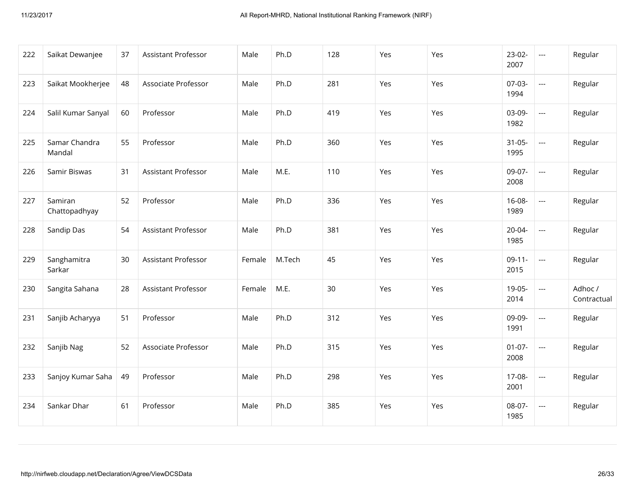| 222 | Saikat Dewanjee          | 37 | Assistant Professor        | Male   | Ph.D   | 128 | Yes | Yes | $23-02-$<br>2007    | $\overline{a}$           | Regular                |
|-----|--------------------------|----|----------------------------|--------|--------|-----|-----|-----|---------------------|--------------------------|------------------------|
| 223 | Saikat Mookherjee        | 48 | Associate Professor        | Male   | Ph.D   | 281 | Yes | Yes | 07-03-<br>1994      | $\overline{a}$           | Regular                |
| 224 | Salil Kumar Sanyal       | 60 | Professor                  | Male   | Ph.D   | 419 | Yes | Yes | 03-09-<br>1982      | $\overline{\phantom{a}}$ | Regular                |
| 225 | Samar Chandra<br>Mandal  | 55 | Professor                  | Male   | Ph.D   | 360 | Yes | Yes | $31-05-$<br>1995    | $\overline{\phantom{a}}$ | Regular                |
| 226 | Samir Biswas             | 31 | <b>Assistant Professor</b> | Male   | M.E.   | 110 | Yes | Yes | 09-07-<br>2008      | $\overline{\phantom{a}}$ | Regular                |
| 227 | Samiran<br>Chattopadhyay | 52 | Professor                  | Male   | Ph.D   | 336 | Yes | Yes | $16-08-$<br>1989    | $\overline{\phantom{a}}$ | Regular                |
| 228 | Sandip Das               | 54 | Assistant Professor        | Male   | Ph.D   | 381 | Yes | Yes | $20 - 04 -$<br>1985 | $\overline{a}$           | Regular                |
| 229 | Sanghamitra<br>Sarkar    | 30 | Assistant Professor        | Female | M.Tech | 45  | Yes | Yes | $09-11-$<br>2015    | $\overline{a}$           | Regular                |
| 230 | Sangita Sahana           | 28 | Assistant Professor        | Female | M.E.   | 30  | Yes | Yes | 19-05-<br>2014      | $\hspace{0.05cm} \ldots$ | Adhoc /<br>Contractual |
| 231 | Sanjib Acharyya          | 51 | Professor                  | Male   | Ph.D   | 312 | Yes | Yes | 09-09-<br>1991      | $\hspace{0.05cm} \ldots$ | Regular                |
| 232 | Sanjib Nag               | 52 | Associate Professor        | Male   | Ph.D   | 315 | Yes | Yes | $01-07-$<br>2008    | $\overline{\phantom{a}}$ | Regular                |
| 233 | Sanjoy Kumar Saha        | 49 | Professor                  | Male   | Ph.D   | 298 | Yes | Yes | 17-08-<br>2001      | $\overline{\phantom{a}}$ | Regular                |
| 234 | Sankar Dhar              | 61 | Professor                  | Male   | Ph.D   | 385 | Yes | Yes | 08-07-<br>1985      | $\overline{\phantom{a}}$ | Regular                |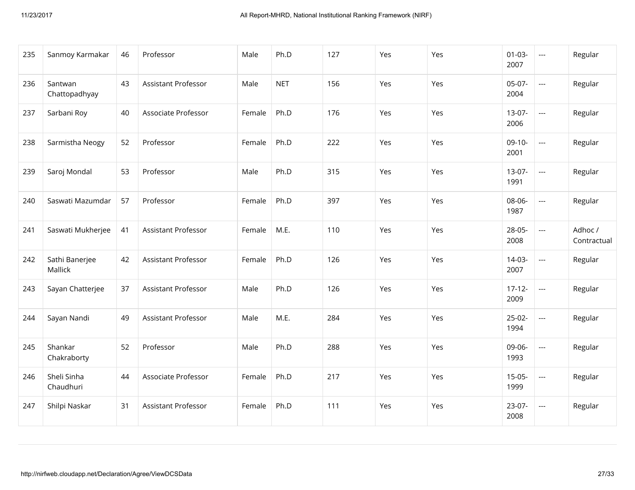| 235 | Sanmoy Karmakar           | 46 | Professor                  | Male   | Ph.D       | 127 | Yes | Yes | $01 - 03 -$<br>2007 | $\scriptstyle\cdots$     | Regular                |
|-----|---------------------------|----|----------------------------|--------|------------|-----|-----|-----|---------------------|--------------------------|------------------------|
| 236 | Santwan<br>Chattopadhyay  | 43 | Assistant Professor        | Male   | <b>NET</b> | 156 | Yes | Yes | 05-07-<br>2004      | $\overline{\phantom{a}}$ | Regular                |
| 237 | Sarbani Roy               | 40 | Associate Professor        | Female | Ph.D       | 176 | Yes | Yes | $13-07-$<br>2006    | $\overline{a}$           | Regular                |
| 238 | Sarmistha Neogy           | 52 | Professor                  | Female | Ph.D       | 222 | Yes | Yes | $09-10-$<br>2001    | $\hspace{0.05cm} \ldots$ | Regular                |
| 239 | Saroj Mondal              | 53 | Professor                  | Male   | Ph.D       | 315 | Yes | Yes | $13-07-$<br>1991    | $\hspace{0.05cm} \ldots$ | Regular                |
| 240 | Saswati Mazumdar          | 57 | Professor                  | Female | Ph.D       | 397 | Yes | Yes | 08-06-<br>1987      | $\overline{\phantom{a}}$ | Regular                |
| 241 | Saswati Mukherjee         | 41 | Assistant Professor        | Female | M.E.       | 110 | Yes | Yes | 28-05-<br>2008      | $\overline{a}$           | Adhoc /<br>Contractual |
| 242 | Sathi Banerjee<br>Mallick | 42 | Assistant Professor        | Female | Ph.D       | 126 | Yes | Yes | $14-03-$<br>2007    | $\overline{\phantom{a}}$ | Regular                |
| 243 | Sayan Chatterjee          | 37 | <b>Assistant Professor</b> | Male   | Ph.D       | 126 | Yes | Yes | $17 - 12 -$<br>2009 | $\hspace{0.05cm} \ldots$ | Regular                |
| 244 | Sayan Nandi               | 49 | Assistant Professor        | Male   | M.E.       | 284 | Yes | Yes | $25-02-$<br>1994    | $\overline{\phantom{a}}$ | Regular                |
| 245 | Shankar<br>Chakraborty    | 52 | Professor                  | Male   | Ph.D       | 288 | Yes | Yes | 09-06-<br>1993      | $\hspace{0.05cm} \ldots$ | Regular                |
| 246 | Sheli Sinha<br>Chaudhuri  | 44 | Associate Professor        | Female | Ph.D       | 217 | Yes | Yes | $15-05-$<br>1999    | $\hspace{0.05cm} \ldots$ | Regular                |
| 247 | Shilpi Naskar             | 31 | Assistant Professor        | Female | Ph.D       | 111 | Yes | Yes | 23-07-<br>2008      | $\hspace{0.05cm} \ldots$ | Regular                |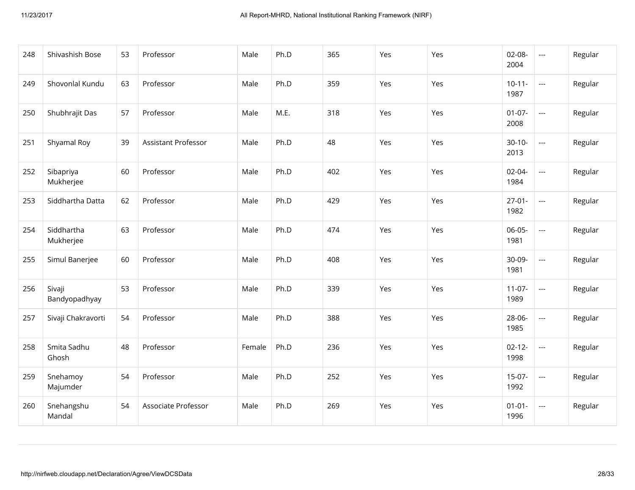| 248 | Shivashish Bose         | 53 | Professor           | Male   | Ph.D | 365 | Yes | Yes | $02-08-$<br>2004    | $\scriptstyle\cdots$                     | Regular |
|-----|-------------------------|----|---------------------|--------|------|-----|-----|-----|---------------------|------------------------------------------|---------|
| 249 | Shovonlal Kundu         | 63 | Professor           | Male   | Ph.D | 359 | Yes | Yes | $10-11-$<br>1987    | $\overline{\phantom{a}}$                 | Regular |
| 250 | Shubhrajit Das          | 57 | Professor           | Male   | M.E. | 318 | Yes | Yes | $01-07-$<br>2008    | $\overline{a}$                           | Regular |
| 251 | Shyamal Roy             | 39 | Assistant Professor | Male   | Ph.D | 48  | Yes | Yes | $30-10-$<br>2013    | $\hspace{0.05cm} \ldots \hspace{0.05cm}$ | Regular |
| 252 | Sibapriya<br>Mukherjee  | 60 | Professor           | Male   | Ph.D | 402 | Yes | Yes | $02 - 04 -$<br>1984 | $\overline{a}$                           | Regular |
| 253 | Siddhartha Datta        | 62 | Professor           | Male   | Ph.D | 429 | Yes | Yes | $27 - 01 -$<br>1982 | $\overline{\phantom{a}}$                 | Regular |
| 254 | Siddhartha<br>Mukherjee | 63 | Professor           | Male   | Ph.D | 474 | Yes | Yes | $06-05-$<br>1981    | $\overline{a}$                           | Regular |
| 255 | Simul Banerjee          | 60 | Professor           | Male   | Ph.D | 408 | Yes | Yes | 30-09-<br>1981      | $\overline{\phantom{a}}$                 | Regular |
| 256 | Sivaji<br>Bandyopadhyay | 53 | Professor           | Male   | Ph.D | 339 | Yes | Yes | $11-07-$<br>1989    | $\overline{\phantom{a}}$                 | Regular |
| 257 | Sivaji Chakravorti      | 54 | Professor           | Male   | Ph.D | 388 | Yes | Yes | 28-06-<br>1985      | $\overline{\phantom{a}}$                 | Regular |
| 258 | Smita Sadhu<br>Ghosh    | 48 | Professor           | Female | Ph.D | 236 | Yes | Yes | $02 - 12 -$<br>1998 | $\hspace{0.05cm} \ldots$                 | Regular |
| 259 | Snehamoy<br>Majumder    | 54 | Professor           | Male   | Ph.D | 252 | Yes | Yes | $15-07-$<br>1992    | $\overline{\phantom{a}}$                 | Regular |
| 260 | Snehangshu<br>Mandal    | 54 | Associate Professor | Male   | Ph.D | 269 | Yes | Yes | $01 - 01 -$<br>1996 | $\hspace{0.05cm} \ldots$                 | Regular |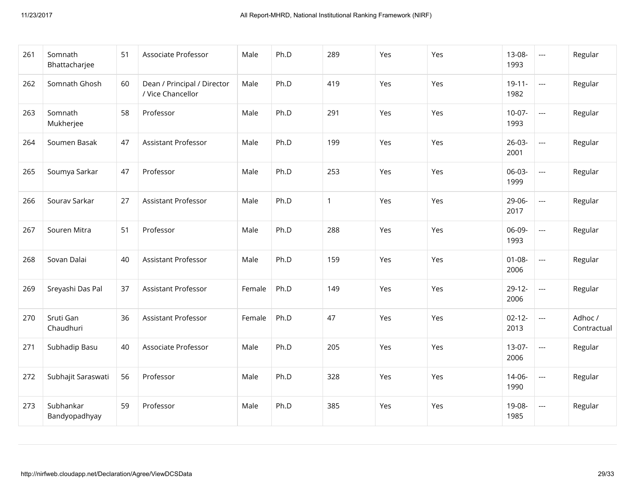| 261 | Somnath<br>Bhattacharjee   | 51 | Associate Professor                              | Male   | Ph.D | 289          | Yes | Yes | 13-08-<br>1993      | $\hspace{0.05cm} \ldots$                 | Regular                |
|-----|----------------------------|----|--------------------------------------------------|--------|------|--------------|-----|-----|---------------------|------------------------------------------|------------------------|
| 262 | Somnath Ghosh              | 60 | Dean / Principal / Director<br>/ Vice Chancellor | Male   | Ph.D | 419          | Yes | Yes | $19-11-$<br>1982    | $\hspace{0.05cm} \ldots$                 | Regular                |
| 263 | Somnath<br>Mukherjee       | 58 | Professor                                        | Male   | Ph.D | 291          | Yes | Yes | $10-07-$<br>1993    | $\overline{\phantom{a}}$                 | Regular                |
| 264 | Soumen Basak               | 47 | <b>Assistant Professor</b>                       | Male   | Ph.D | 199          | Yes | Yes | $26-03-$<br>2001    | $\hspace{0.05cm} \ldots \hspace{0.05cm}$ | Regular                |
| 265 | Soumya Sarkar              | 47 | Professor                                        | Male   | Ph.D | 253          | Yes | Yes | 06-03-<br>1999      | $\overline{\phantom{a}}$                 | Regular                |
| 266 | Sourav Sarkar              | 27 | <b>Assistant Professor</b>                       | Male   | Ph.D | $\mathbf{1}$ | Yes | Yes | 29-06-<br>2017      | $\hspace{0.05cm} \ldots \hspace{0.05cm}$ | Regular                |
| 267 | Souren Mitra               | 51 | Professor                                        | Male   | Ph.D | 288          | Yes | Yes | 06-09-<br>1993      | $\hspace{0.05cm} \ldots$                 | Regular                |
| 268 | Sovan Dalai                | 40 | <b>Assistant Professor</b>                       | Male   | Ph.D | 159          | Yes | Yes | $01 - 08 -$<br>2006 | $\overline{\phantom{a}}$                 | Regular                |
| 269 | Sreyashi Das Pal           | 37 | <b>Assistant Professor</b>                       | Female | Ph.D | 149          | Yes | Yes | $29-12-$<br>2006    | $\hspace{0.05cm} \ldots \hspace{0.05cm}$ | Regular                |
| 270 | Sruti Gan<br>Chaudhuri     | 36 | <b>Assistant Professor</b>                       | Female | Ph.D | 47           | Yes | Yes | $02 - 12 -$<br>2013 | $\hspace{0.05cm} \ldots$                 | Adhoc /<br>Contractual |
| 271 | Subhadip Basu              | 40 | Associate Professor                              | Male   | Ph.D | 205          | Yes | Yes | $13-07-$<br>2006    | $\hspace{0.05cm} \ldots \hspace{0.05cm}$ | Regular                |
| 272 | Subhajit Saraswati         | 56 | Professor                                        | Male   | Ph.D | 328          | Yes | Yes | $14 - 06 -$<br>1990 | $\overline{\phantom{a}}$                 | Regular                |
| 273 | Subhankar<br>Bandyopadhyay | 59 | Professor                                        | Male   | Ph.D | 385          | Yes | Yes | 19-08-<br>1985      | $\hspace{0.05cm} \ldots \hspace{0.05cm}$ | Regular                |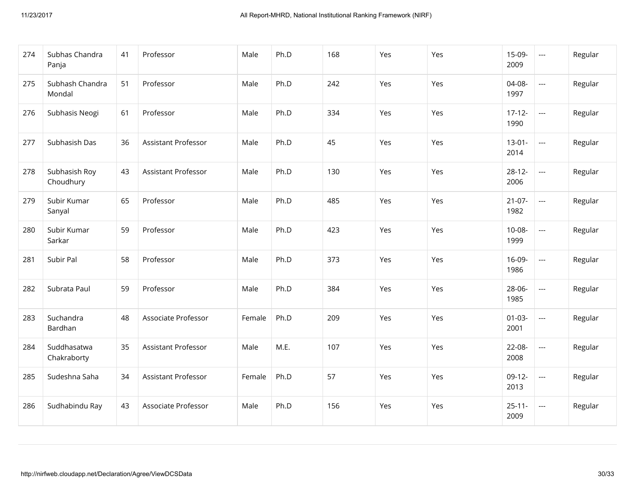| 274 | Subhas Chandra<br>Panja    | 41 | Professor                  | Male   | Ph.D | 168 | Yes | Yes | 15-09-<br>2009      | $\scriptstyle\cdots$     | Regular |
|-----|----------------------------|----|----------------------------|--------|------|-----|-----|-----|---------------------|--------------------------|---------|
| 275 | Subhash Chandra<br>Mondal  | 51 | Professor                  | Male   | Ph.D | 242 | Yes | Yes | 04-08-<br>1997      | $\overline{\phantom{a}}$ | Regular |
| 276 | Subhasis Neogi             | 61 | Professor                  | Male   | Ph.D | 334 | Yes | Yes | $17-12-$<br>1990    | $\overline{\phantom{a}}$ | Regular |
| 277 | Subhasish Das              | 36 | <b>Assistant Professor</b> | Male   | Ph.D | 45  | Yes | Yes | $13-01-$<br>2014    | $\overline{\phantom{a}}$ | Regular |
| 278 | Subhasish Roy<br>Choudhury | 43 | Assistant Professor        | Male   | Ph.D | 130 | Yes | Yes | $28 - 12 -$<br>2006 | $\overline{\phantom{a}}$ | Regular |
| 279 | Subir Kumar<br>Sanyal      | 65 | Professor                  | Male   | Ph.D | 485 | Yes | Yes | $21-07-$<br>1982    | $\hspace{0.05cm} \ldots$ | Regular |
| 280 | Subir Kumar<br>Sarkar      | 59 | Professor                  | Male   | Ph.D | 423 | Yes | Yes | $10-08-$<br>1999    | $\hspace{0.05cm} \ldots$ | Regular |
| 281 | Subir Pal                  | 58 | Professor                  | Male   | Ph.D | 373 | Yes | Yes | 16-09-<br>1986      | $\overline{\phantom{a}}$ | Regular |
| 282 | Subrata Paul               | 59 | Professor                  | Male   | Ph.D | 384 | Yes | Yes | 28-06-<br>1985      | $\hspace{0.05cm} \ldots$ | Regular |
| 283 | Suchandra<br>Bardhan       | 48 | Associate Professor        | Female | Ph.D | 209 | Yes | Yes | $01 - 03 -$<br>2001 | $\hspace{0.05cm} \ldots$ | Regular |
| 284 | Suddhasatwa<br>Chakraborty | 35 | Assistant Professor        | Male   | M.E. | 107 | Yes | Yes | 22-08-<br>2008      | $\overline{\phantom{a}}$ | Regular |
| 285 | Sudeshna Saha              | 34 | Assistant Professor        | Female | Ph.D | 57  | Yes | Yes | $09-12-$<br>2013    | $\hspace{0.05cm} \ldots$ | Regular |
| 286 | Sudhabindu Ray             | 43 | Associate Professor        | Male   | Ph.D | 156 | Yes | Yes | $25 - 11 -$<br>2009 | $\hspace{0.05cm} \ldots$ | Regular |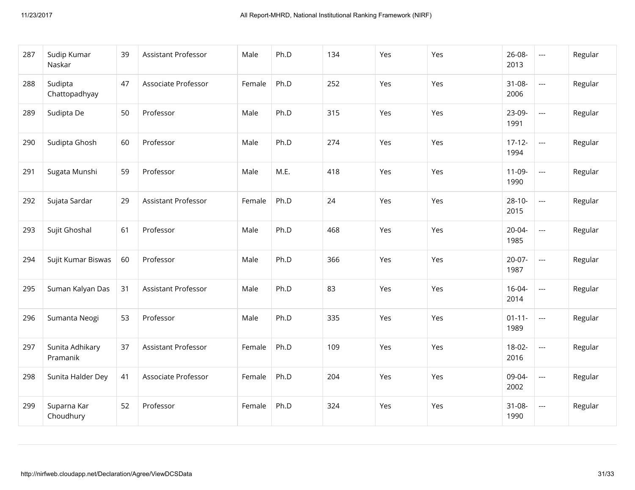| 287 | Sudip Kumar<br>Naskar       | 39 | <b>Assistant Professor</b> | Male   | Ph.D | 134 | Yes | Yes | 26-08-<br>2013      | $\hspace{0.05cm} \ldots$                 | Regular |
|-----|-----------------------------|----|----------------------------|--------|------|-----|-----|-----|---------------------|------------------------------------------|---------|
| 288 | Sudipta<br>Chattopadhyay    | 47 | Associate Professor        | Female | Ph.D | 252 | Yes | Yes | $31 - 08 -$<br>2006 | $\hspace{0.05cm} \ldots \hspace{0.05cm}$ | Regular |
| 289 | Sudipta De                  | 50 | Professor                  | Male   | Ph.D | 315 | Yes | Yes | 23-09-<br>1991      | $\overline{\phantom{a}}$                 | Regular |
| 290 | Sudipta Ghosh               | 60 | Professor                  | Male   | Ph.D | 274 | Yes | Yes | $17-12-$<br>1994    | $\hspace{0.05cm} \ldots$                 | Regular |
| 291 | Sugata Munshi               | 59 | Professor                  | Male   | M.E. | 418 | Yes | Yes | $11-09-$<br>1990    | $\overline{\phantom{a}}$                 | Regular |
| 292 | Sujata Sardar               | 29 | Assistant Professor        | Female | Ph.D | 24  | Yes | Yes | $28 - 10 -$<br>2015 | $\hspace{0.05cm} \ldots \hspace{0.05cm}$ | Regular |
| 293 | Sujit Ghoshal               | 61 | Professor                  | Male   | Ph.D | 468 | Yes | Yes | $20 - 04 -$<br>1985 | $\overline{\phantom{a}}$                 | Regular |
| 294 | Sujit Kumar Biswas          | 60 | Professor                  | Male   | Ph.D | 366 | Yes | Yes | $20-07-$<br>1987    | $\overline{a}$                           | Regular |
| 295 | Suman Kalyan Das            | 31 | <b>Assistant Professor</b> | Male   | Ph.D | 83  | Yes | Yes | $16 - 04 -$<br>2014 | $\overline{\phantom{a}}$                 | Regular |
| 296 | Sumanta Neogi               | 53 | Professor                  | Male   | Ph.D | 335 | Yes | Yes | $01 - 11 -$<br>1989 | $\hspace{0.05cm} \ldots$                 | Regular |
| 297 | Sunita Adhikary<br>Pramanik | 37 | Assistant Professor        | Female | Ph.D | 109 | Yes | Yes | $18-02-$<br>2016    | $\overline{\phantom{a}}$                 | Regular |
| 298 | Sunita Halder Dey           | 41 | Associate Professor        | Female | Ph.D | 204 | Yes | Yes | 09-04-<br>2002      | $\overline{a}$                           | Regular |
| 299 | Suparna Kar<br>Choudhury    | 52 | Professor                  | Female | Ph.D | 324 | Yes | Yes | $31 - 08 -$<br>1990 | $\hspace{0.05cm} \ldots$                 | Regular |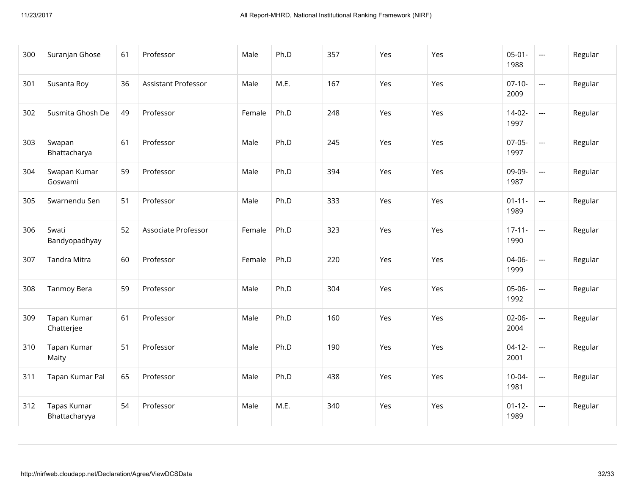| 300 | Suranjan Ghose               | 61 | Professor                  | Male   | Ph.D | 357 | Yes | Yes | $05 - 01 -$<br>1988 | $\hspace{0.05cm} \ldots$                 | Regular |
|-----|------------------------------|----|----------------------------|--------|------|-----|-----|-----|---------------------|------------------------------------------|---------|
| 301 | Susanta Roy                  | 36 | <b>Assistant Professor</b> | Male   | M.E. | 167 | Yes | Yes | $07-10-$<br>2009    | $\overline{\phantom{a}}$                 | Regular |
| 302 | Susmita Ghosh De             | 49 | Professor                  | Female | Ph.D | 248 | Yes | Yes | $14-02-$<br>1997    | $\overline{a}$                           | Regular |
| 303 | Swapan<br>Bhattacharya       | 61 | Professor                  | Male   | Ph.D | 245 | Yes | Yes | $07-05-$<br>1997    | $\overline{\phantom{a}}$                 | Regular |
| 304 | Swapan Kumar<br>Goswami      | 59 | Professor                  | Male   | Ph.D | 394 | Yes | Yes | 09-09-<br>1987      | $\overline{a}$                           | Regular |
| 305 | Swarnendu Sen                | 51 | Professor                  | Male   | Ph.D | 333 | Yes | Yes | $01 - 11 -$<br>1989 | $\overline{\phantom{a}}$                 | Regular |
| 306 | Swati<br>Bandyopadhyay       | 52 | Associate Professor        | Female | Ph.D | 323 | Yes | Yes | $17 - 11 -$<br>1990 | $\overline{\phantom{a}}$                 | Regular |
| 307 | Tandra Mitra                 | 60 | Professor                  | Female | Ph.D | 220 | Yes | Yes | 04-06-<br>1999      | $\overline{\phantom{a}}$                 | Regular |
| 308 | Tanmoy Bera                  | 59 | Professor                  | Male   | Ph.D | 304 | Yes | Yes | 05-06-<br>1992      | $\overline{\phantom{a}}$                 | Regular |
| 309 | Tapan Kumar<br>Chatterjee    | 61 | Professor                  | Male   | Ph.D | 160 | Yes | Yes | $02 - 06 -$<br>2004 | $\hspace{0.05cm} \ldots$                 | Regular |
| 310 | Tapan Kumar<br>Maity         | 51 | Professor                  | Male   | Ph.D | 190 | Yes | Yes | $04-12-$<br>2001    | $\hspace{0.05cm} \ldots$                 | Regular |
| 311 | Tapan Kumar Pal              | 65 | Professor                  | Male   | Ph.D | 438 | Yes | Yes | $10-04-$<br>1981    | $\overline{\phantom{a}}$                 | Regular |
| 312 | Tapas Kumar<br>Bhattacharyya | 54 | Professor                  | Male   | M.E. | 340 | Yes | Yes | $01 - 12 -$<br>1989 | $\hspace{0.05cm} \ldots \hspace{0.05cm}$ | Regular |